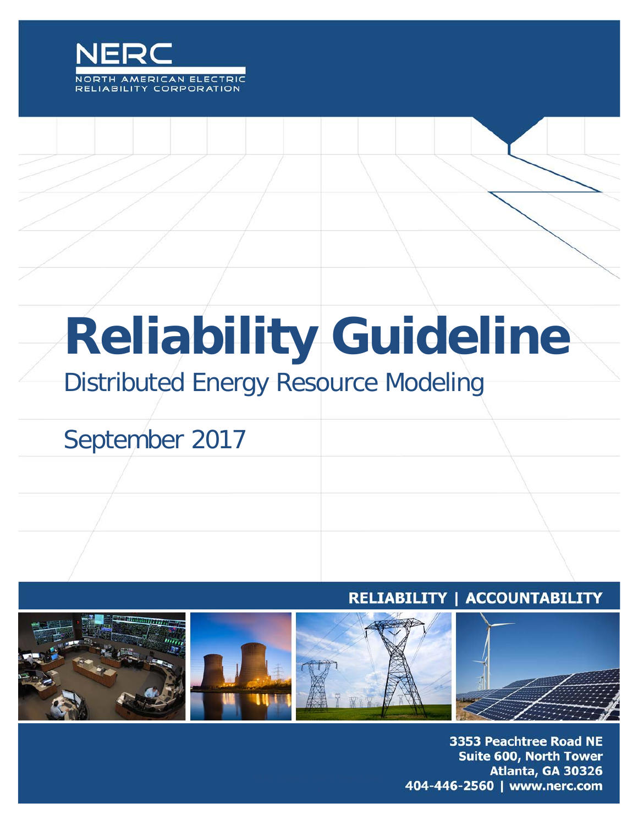

# **Reliability Guideline**

## Distributed Energy Resource Modeling

## September 2017

## RELIABILITY | ACCOUNTABILITY



3353 Peachtree Road NE Suite 600, North Tower Atlanta, GA 30326 404-446-2560 | www.nerc.com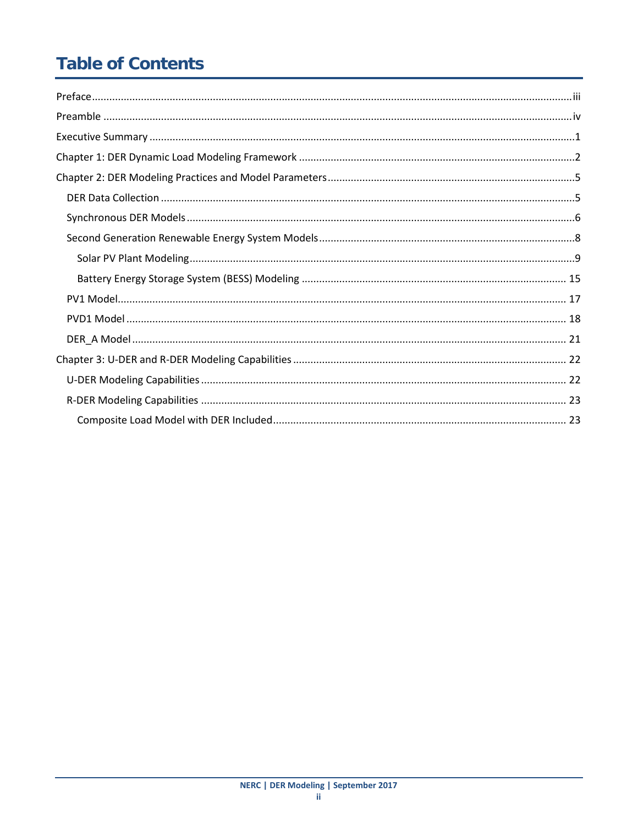## **Table of Contents**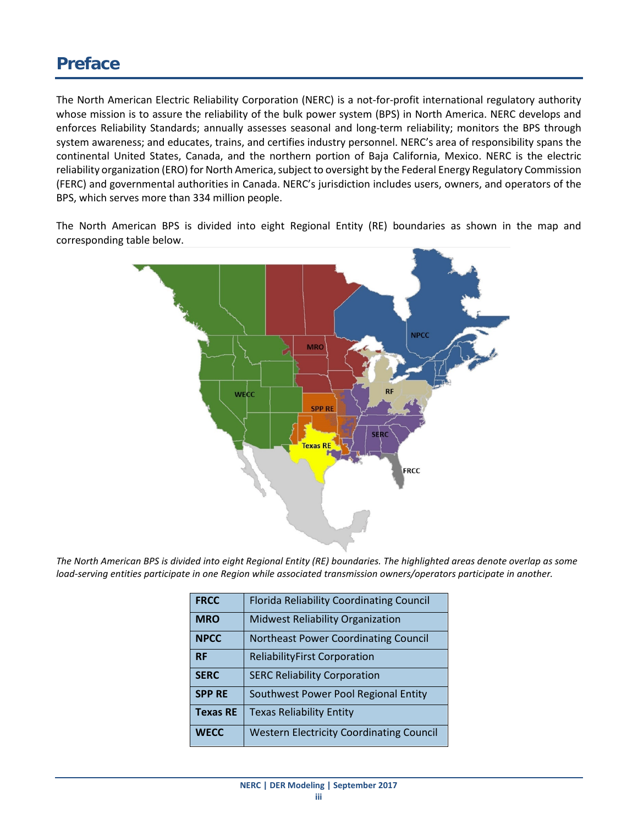<span id="page-2-0"></span>The North American Electric Reliability Corporation (NERC) is a not-for-profit international regulatory authority whose mission is to assure the reliability of the bulk power system (BPS) in North America. NERC develops and enforces Reliability Standards; annually assesses seasonal and long-term reliability; monitors the BPS through system awareness; and educates, trains, and certifies industry personnel. NERC's area of responsibility spans the continental United States, Canada, and the northern portion of Baja California, Mexico. NERC is the electric reliability organization (ERO) for North America, subject to oversight by the Federal Energy Regulatory Commission (FERC) and governmental authorities in Canada. NERC's jurisdiction includes users, owners, and operators of the BPS, which serves more than 334 million people.

The North American BPS is divided into eight Regional Entity (RE) boundaries as shown in the map and corresponding table below.



*The North American BPS is divided into eight Regional Entity (RE) boundaries. The highlighted areas denote overlap as some load-serving entities participate in one Region while associated transmission owners/operators participate in another.*

| <b>FRCC</b>     | <b>Florida Reliability Coordinating Council</b> |
|-----------------|-------------------------------------------------|
| <b>MRO</b>      | <b>Midwest Reliability Organization</b>         |
| <b>NPCC</b>     | <b>Northeast Power Coordinating Council</b>     |
| <b>RF</b>       | <b>ReliabilityFirst Corporation</b>             |
| <b>SERC</b>     | <b>SERC Reliability Corporation</b>             |
| <b>SPP RE</b>   | Southwest Power Pool Regional Entity            |
| <b>Texas RE</b> | <b>Texas Reliability Entity</b>                 |
| <b>WECC</b>     | <b>Western Electricity Coordinating Council</b> |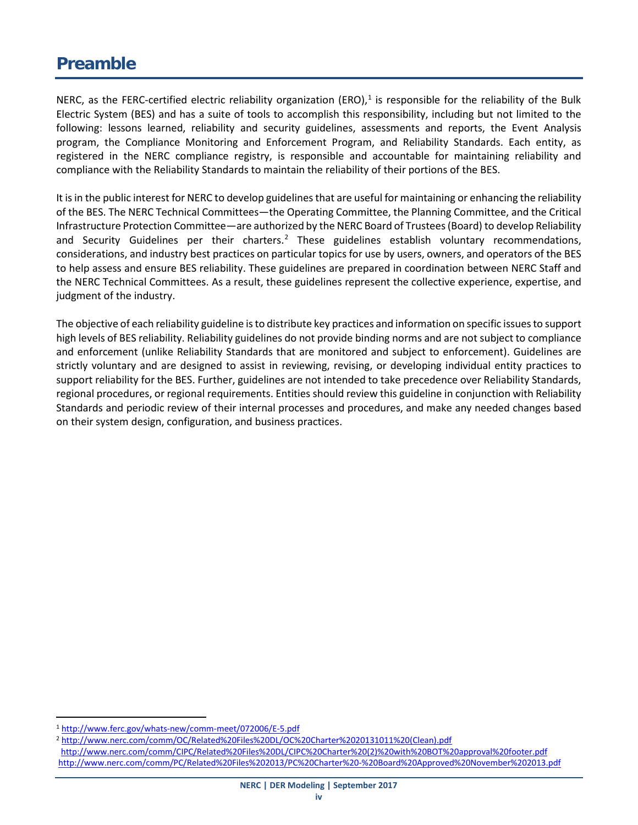## <span id="page-3-0"></span>**Preamble**

NERC, as the FERC-certified electric reliability organization (ERO),<sup>[1](#page-3-1)</sup> is responsible for the reliability of the Bulk Electric System (BES) and has a suite of tools to accomplish this responsibility, including but not limited to the following: lessons learned, reliability and security guidelines, assessments and reports, the Event Analysis program, the Compliance Monitoring and Enforcement Program, and Reliability Standards. Each entity, as registered in the NERC compliance registry, is responsible and accountable for maintaining reliability and compliance with the Reliability Standards to maintain the reliability of their portions of the BES.

It is in the public interest for NERC to develop guidelines that are useful for maintaining or enhancing the reliability of the BES. The NERC Technical Committees—the Operating Committee, the Planning Committee, and the Critical Infrastructure Protection Committee—are authorized by the NERC Board of Trustees (Board) to develop Reliability and Security Guidelines per their charters.<sup>[2](#page-3-2)</sup> These guidelines establish voluntary recommendations, considerations, and industry best practices on particular topics for use by users, owners, and operators of the BES to help assess and ensure BES reliability. These guidelines are prepared in coordination between NERC Staff and the NERC Technical Committees. As a result, these guidelines represent the collective experience, expertise, and judgment of the industry.

The objective of each reliability guideline is to distribute key practices and information on specific issues to support high levels of BES reliability. Reliability guidelines do not provide binding norms and are not subject to compliance and enforcement (unlike Reliability Standards that are monitored and subject to enforcement). Guidelines are strictly voluntary and are designed to assist in reviewing, revising, or developing individual entity practices to support reliability for the BES. Further, guidelines are not intended to take precedence over Reliability Standards, regional procedures, or regional requirements. Entities should review this guideline in conjunction with Reliability Standards and periodic review of their internal processes and procedures, and make any needed changes based on their system design, configuration, and business practices.

<span id="page-3-1"></span> <sup>1</sup> <http://www.ferc.gov/whats-new/comm-meet/072006/E-5.pdf>

<span id="page-3-2"></span><sup>2</sup> [http://www.nerc.com/comm/OC/Related%20Files%20DL/OC%20Charter%2020131011%20\(Clean\).pdf](http://www.nerc.com/comm/OC/Related%20Files%20DL/OC%20Charter%2020131011%20(Clean).pdf) [http://www.nerc.com/comm/CIPC/Related%20Files%20DL/CIPC%20Charter%20\(2\)%20with%20BOT%20approval%20footer.pdf](http://www.nerc.com/comm/CIPC/Related%20Files%20DL/CIPC%20Charter%20(2)%20with%20BOT%20approval%20footer.pdf) <http://www.nerc.com/comm/PC/Related%20Files%202013/PC%20Charter%20-%20Board%20Approved%20November%202013.pdf>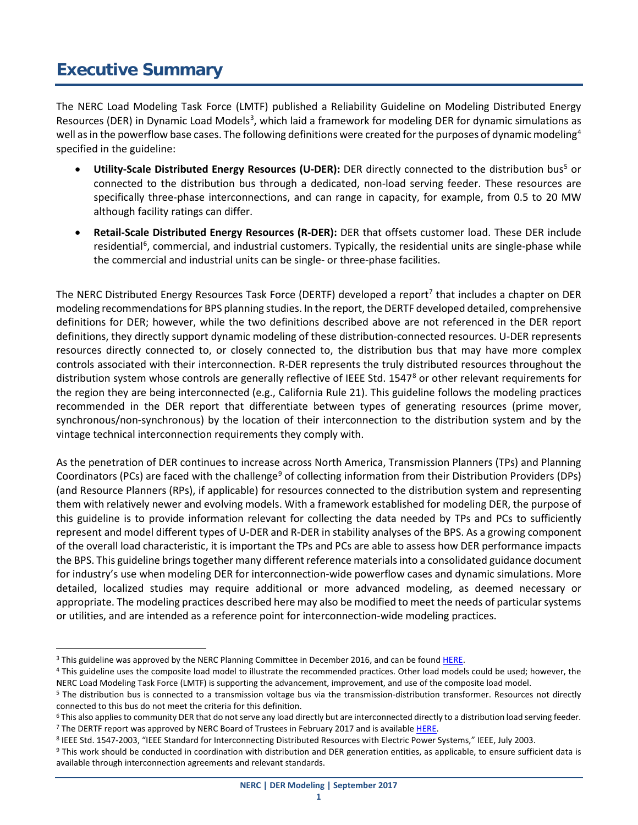## <span id="page-4-0"></span>**Executive Summary**

The NERC Load Modeling Task Force (LMTF) published a Reliability Guideline on Modeling Distributed Energy Resources (DER) in Dynamic Load Models<sup>[3](#page-4-1)</sup>, which laid a framework for modeling DER for dynamic simulations as well as in the powerflow base cases. The following definitions were created for the purposes of dynamic modeling<sup>[4](#page-4-2)</sup> specified in the guideline:

- **Utility-Scale Distributed Energy Resources (U-DER):** DER directly connected to the distribution bus<sup>5</sup> or connected to the distribution bus through a dedicated, non-load serving feeder. These resources are specifically three-phase interconnections, and can range in capacity, for example, from 0.5 to 20 MW although facility ratings can differ.
- **Retail-Scale Distributed Energy Resources (R-DER):** DER that offsets customer load. These DER include residential<sup>[6](#page-4-4)</sup>, commercial, and industrial customers. Typically, the residential units are single-phase while the commercial and industrial units can be single- or three-phase facilities.

<span id="page-4-8"></span>The NERC Distributed Energy Resources Task Force (DERTF) developed a report<sup>[7](#page-4-5)</sup> that includes a chapter on DER modeling recommendations for BPS planning studies. In the report, the DERTF developed detailed, comprehensive definitions for DER; however, while the two definitions described above are not referenced in the DER report definitions, they directly support dynamic modeling of these distribution-connected resources. U-DER represents resources directly connected to, or closely connected to, the distribution bus that may have more complex controls associated with their interconnection. R-DER represents the truly distributed resources throughout the distribution system whose controls are generally reflective of IEEE Std. 1547<sup>[8](#page-4-6)</sup> or other relevant requirements for the region they are being interconnected (e.g., California Rule 21). This guideline follows the modeling practices recommended in the DER report that differentiate between types of generating resources (prime mover, synchronous/non-synchronous) by the location of their interconnection to the distribution system and by the vintage technical interconnection requirements they comply with.

As the penetration of DER continues to increase across North America, Transmission Planners (TPs) and Planning Coordinators (PCs) are faced with the challenge<sup>[9](#page-4-7)</sup> of collecting information from their Distribution Providers (DPs) (and Resource Planners (RPs), if applicable) for resources connected to the distribution system and representing them with relatively newer and evolving models. With a framework established for modeling DER, the purpose of this guideline is to provide information relevant for collecting the data needed by TPs and PCs to sufficiently represent and model different types of U-DER and R-DER in stability analyses of the BPS. As a growing component of the overall load characteristic, it is important the TPs and PCs are able to assess how DER performance impacts the BPS. This guideline brings together many different reference materials into a consolidated guidance document for industry's use when modeling DER for interconnection-wide powerflow cases and dynamic simulations. More detailed, localized studies may require additional or more advanced modeling, as deemed necessary or appropriate. The modeling practices described here may also be modified to meet the needs of particular systems or utilities, and are intended as a reference point for interconnection-wide modeling practices.

<span id="page-4-1"></span><sup>&</sup>lt;sup>3</sup> This guideline was approved by the NERC Planning Committee in December 2016, and can be foun[d HERE.](http://www.nerc.com/pa/RAPA/rg/ReliabilityGuidelines/Reliability%20Guideline%20-%20Modeling%20DER%20in%20Dynamic%20Load%20Models.pdf)

<span id="page-4-2"></span><sup>&</sup>lt;sup>4</sup> This guideline uses the composite load model to illustrate the recommended practices. Other load models could be used; however, the NERC Load Modeling Task Force (LMTF) is supporting the advancement, improvement, and use of the composite load model.

<span id="page-4-3"></span><sup>&</sup>lt;sup>5</sup> The distribution bus is connected to a transmission voltage bus via the transmission-distribution transformer. Resources not directly connected to this bus do not meet the criteria for this definition.

<span id="page-4-4"></span><sup>&</sup>lt;sup>6</sup> This also applies to community DER that do not serve any load directly but are interconnected directly to a distribution load serving feeder.

<span id="page-4-6"></span><span id="page-4-5"></span><sup>&</sup>lt;sup>7</sup> The DERTF report was approved by NERC Board of Trustees in February 2017 and is available [HERE.](http://www.nerc.com/comm/Other/essntlrlbltysrvcstskfrcDL/Distributed_Energy_Resources_Report.pdf)<br><sup>8</sup> IEEE Std. 1547-2003, "IEEE Standard for Interconnecting Distributed Resources with Electric Power Systems," IEEE, July

<span id="page-4-7"></span><sup>9</sup> This work should be conducted in coordination with distribution and DER generation entities, as applicable, to ensure sufficient data is available through interconnection agreements and relevant standards.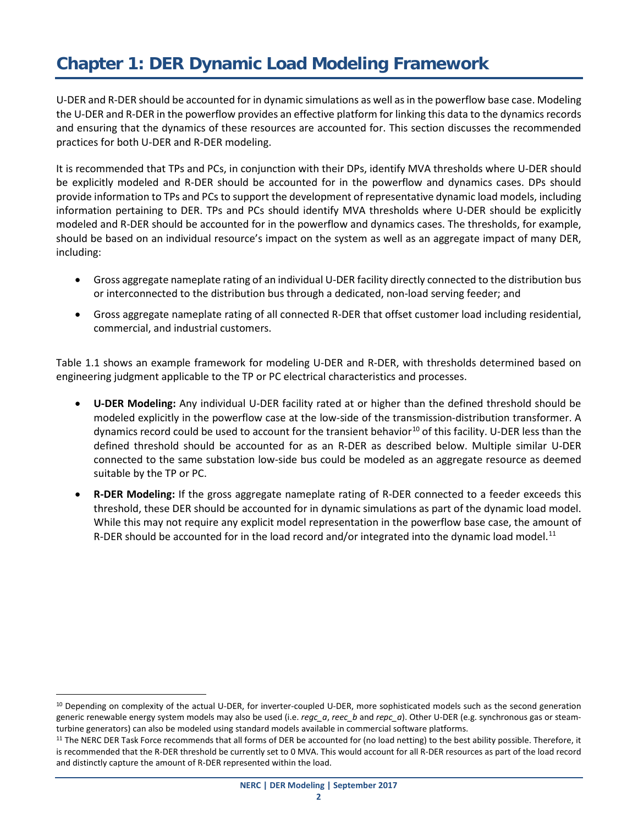## <span id="page-5-0"></span>**Chapter 1: DER Dynamic Load Modeling Framework**

U-DER and R-DER should be accounted for in dynamic simulations as well as in the powerflow base case. Modeling the U-DER and R-DER in the powerflow provides an effective platform for linking this data to the dynamics records and ensuring that the dynamics of these resources are accounted for. This section discusses the recommended practices for both U-DER and R-DER modeling.

It is recommended that TPs and PCs, in conjunction with their DPs, identify MVA thresholds where U-DER should be explicitly modeled and R-DER should be accounted for in the powerflow and dynamics cases. DPs should provide information to TPs and PCs to support the development of representative dynamic load models, including information pertaining to DER. TPs and PCs should identify MVA thresholds where U-DER should be explicitly modeled and R-DER should be accounted for in the powerflow and dynamics cases. The thresholds, for example, should be based on an individual resource's impact on the system as well as an aggregate impact of many DER, including:

- Gross aggregate nameplate rating of an individual U-DER facility directly connected to the distribution bus or interconnected to the distribution bus through a dedicated, non-load serving feeder; and
- Gross aggregate nameplate rating of all connected R-DER that offset customer load including residential, commercial, and industrial customers.

Table 1.1 shows an example framework for modeling U-DER and R-DER, with thresholds determined based on engineering judgment applicable to the TP or PC electrical characteristics and processes.

- **U-DER Modeling:** Any individual U-DER facility rated at or higher than the defined threshold should be modeled explicitly in the powerflow case at the low-side of the transmission-distribution transformer. A dynamics record could be used to account for the transient behavior<sup>[10](#page-5-1)</sup> of this facility. U-DER less than the defined threshold should be accounted for as an R-DER as described below. Multiple similar U-DER connected to the same substation low-side bus could be modeled as an aggregate resource as deemed suitable by the TP or PC.
- **R-DER Modeling:** If the gross aggregate nameplate rating of R-DER connected to a feeder exceeds this threshold, these DER should be accounted for in dynamic simulations as part of the dynamic load model. While this may not require any explicit model representation in the powerflow base case, the amount of R-DER should be accounted for in the load record and/or integrated into the dynamic load model.<sup>[11](#page-5-2)</sup>

<span id="page-5-1"></span><sup>&</sup>lt;sup>10</sup> Depending on complexity of the actual U-DER, for inverter-coupled U-DER, more sophisticated models such as the second generation generic renewable energy system models may also be used (i.e. *regc\_a*, *reec\_b* and *repc\_a*). Other U-DER (e.g. synchronous gas or steamturbine generators) can also be modeled using standard models available in commercial software platforms.

<span id="page-5-2"></span><sup>&</sup>lt;sup>11</sup> The NERC DER Task Force recommends that all forms of DER be accounted for (no load netting) to the best ability possible. Therefore, it is recommended that the R-DER threshold be currently set to 0 MVA. This would account for all R-DER resources as part of the load record and distinctly capture the amount of R-DER represented within the load.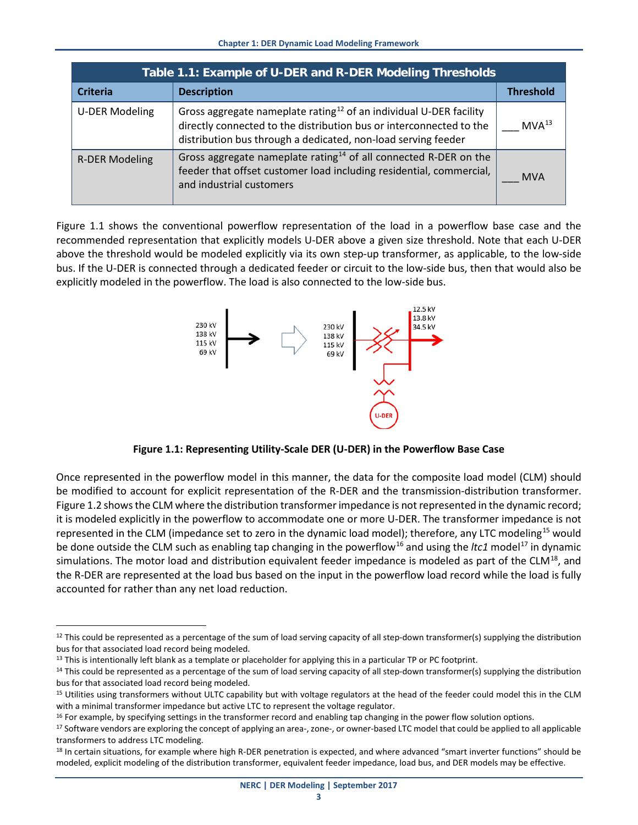| Table 1.1: Example of U-DER and R-DER Modeling Thresholds |                                                                                                                                                                                                                        |                   |  |  |  |  |  |
|-----------------------------------------------------------|------------------------------------------------------------------------------------------------------------------------------------------------------------------------------------------------------------------------|-------------------|--|--|--|--|--|
| <b>Criteria</b>                                           | <b>Description</b>                                                                                                                                                                                                     | <b>Threshold</b>  |  |  |  |  |  |
| <b>U-DER Modeling</b>                                     | Gross aggregate nameplate rating <sup>12</sup> of an individual U-DER facility<br>directly connected to the distribution bus or interconnected to the<br>distribution bus through a dedicated, non-load serving feeder | MVA <sup>13</sup> |  |  |  |  |  |
| <b>R-DER Modeling</b>                                     | Gross aggregate nameplate rating $14$ of all connected R-DER on the<br>feeder that offset customer load including residential, commercial,<br>and industrial customers                                                 | <b>MVA</b>        |  |  |  |  |  |

Figure 1.1 shows the conventional powerflow representation of the load in a powerflow base case and the recommended representation that explicitly models U-DER above a given size threshold. Note that each U-DER above the threshold would be modeled explicitly via its own step-up transformer, as applicable, to the low-side bus. If the U-DER is connected through a dedicated feeder or circuit to the low-side bus, then that would also be explicitly modeled in the powerflow. The load is also connected to the low-side bus.



**Figure 1.1: Representing Utility-Scale DER (U-DER) in the Powerflow Base Case**

Once represented in the powerflow model in this manner, the data for the composite load model (CLM) should be modified to account for explicit representation of the R-DER and the transmission-distribution transformer. Figure 1.2 shows the CLM where the distribution transformer impedance is not represented in the dynamic record; it is modeled explicitly in the powerflow to accommodate one or more U-DER. The transformer impedance is not represented in the CLM (impedance set to zero in the dynamic load model); therefore, any LTC modeling<sup>[15](#page-6-3)</sup> would be done outside the CLM such as enabling tap changing in the powerflow<sup>[16](#page-6-4)</sup> and using the *ltc1* model<sup>[17](#page-6-5)</sup> in dynamic simulations. The motor load and distribution equivalent feeder impedance is modeled as part of the CLM<sup>18</sup>, and the R-DER are represented at the load bus based on the input in the powerflow load record while the load is fully accounted for rather than any net load reduction.

<span id="page-6-0"></span> $12$  This could be represented as a percentage of the sum of load serving capacity of all step-down transformer(s) supplying the distribution bus for that associated load record being modeled.

<span id="page-6-1"></span><sup>&</sup>lt;sup>13</sup> This is intentionally left blank as a template or placeholder for applying this in a particular TP or PC footprint.

<span id="page-6-2"></span><sup>&</sup>lt;sup>14</sup> This could be represented as a percentage of the sum of load serving capacity of all step-down transformer(s) supplying the distribution bus for that associated load record being modeled.

<span id="page-6-3"></span><sup>15</sup> Utilities using transformers without ULTC capability but with voltage regulators at the head of the feeder could model this in the CLM with a minimal transformer impedance but active LTC to represent the voltage regulator.

<span id="page-6-4"></span><sup>&</sup>lt;sup>16</sup> For example, by specifying settings in the transformer record and enabling tap changing in the power flow solution options.

<span id="page-6-5"></span><sup>&</sup>lt;sup>17</sup> Software vendors are exploring the concept of applying an area-, zone-, or owner-based LTC model that could be applied to all applicable transformers to address LTC modeling.

<span id="page-6-6"></span><sup>&</sup>lt;sup>18</sup> In certain situations, for example where high R-DER penetration is expected, and where advanced "smart inverter functions" should be modeled, explicit modeling of the distribution transformer, equivalent feeder impedance, load bus, and DER models may be effective.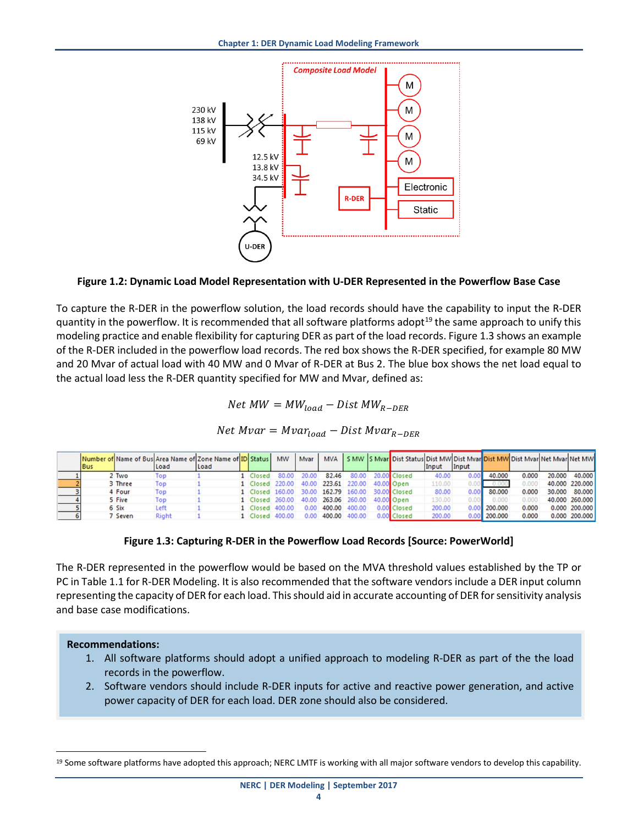

#### **Figure 1.2: Dynamic Load Model Representation with U-DER Represented in the Powerflow Base Case**

To capture the R-DER in the powerflow solution, the load records should have the capability to input the R-DER quantity in the powerflow. It is recommended that all software platforms adopt<sup>[19](#page-7-0)</sup> the same approach to unify this modeling practice and enable flexibility for capturing DER as part of the load records. Figure 1.3 shows an example of the R-DER included in the powerflow load records. The red box shows the R-DER specified, for example 80 MW and 20 Mvar of actual load with 40 MW and 0 Mvar of R-DER at Bus 2. The blue box shows the net load equal to the actual load less the R-DER quantity specified for MW and Mvar, defined as:

#### $Net\ MW = MW_{load} - Dist\ MW_{R-DER}$

 $Net Mvar = Mvar_{load} - Dist Mvar_{R-DER}$ 

| <b>Bus</b> |         | Load  | Number of Name of Bus Area Name of Zone Name of ID Status<br><b>Load</b> |                 | <b>MW</b> | Mvar  | <b>MVA</b>          |       | S MW S Mvar Dist Status Dist MW Dist Mvar Dist MW Dist Mvar Net Mvar Net MW | Input  | Input |         |       |        |                |
|------------|---------|-------|--------------------------------------------------------------------------|-----------------|-----------|-------|---------------------|-------|-----------------------------------------------------------------------------|--------|-------|---------|-------|--------|----------------|
|            | 2 Two   | Top   |                                                                          | 1 Closed        | 80.00     | 20.00 | 82.46               | 80.00 | 20.00 Closed                                                                | 40.00  | 0.00  | 40,000  | 0.000 | 20,000 | 40,000         |
|            | 3 Three | Top   |                                                                          | 1 Closed 220.00 |           |       | 40.00 223.61 220.00 |       | 40.00 Open                                                                  | 110.00 |       |         |       |        | 40,000 220,000 |
|            | 4 Four  | Top   |                                                                          | 1 Closed 160.00 |           |       | 30.00 162.79 160.00 |       | 30.00 Closed                                                                | 80.00  | 0.00  | 80,000  | 0.000 |        | 30,000 80,000  |
|            | 5 Five  | Top   |                                                                          | 1 Closed 260.00 |           | 40.00 | 263.06 260.00       |       | 40.00 Open                                                                  | 130.00 |       |         |       |        | 40.000 260.000 |
|            | 6 Six   | Left  |                                                                          | 1 Closed 400.00 |           | 0.00  | 400.00 400.00       |       | 0.00 Closed                                                                 | 200.00 | 0.00  | 200,000 | 0.000 |        | 0.000 200.000  |
|            | 7 Seven | Right |                                                                          | 1 Closed 400.00 |           | 0.00  | 400.00 400.00       |       | 0.00 Closed                                                                 | 200.00 | 0.00  | 200,000 | 0.000 |        | 0.000 200.000  |

#### **Figure 1.3: Capturing R-DER in the Powerflow Load Records [Source: PowerWorld]**

The R-DER represented in the powerflow would be based on the MVA threshold values established by the TP or PC in Table 1.1 for R-DER Modeling. It is also recommended that the software vendors include a DER input column representing the capacity of DER for each load. This should aid in accurate accounting of DER for sensitivity analysis and base case modifications.

- 1. All software platforms should adopt a unified approach to modeling R-DER as part of the the load records in the powerflow.
- 2. Software vendors should include R-DER inputs for active and reactive power generation, and active power capacity of DER for each load. DER zone should also be considered.

<span id="page-7-0"></span> <sup>19</sup> Some software platforms have adopted this approach; NERC LMTF is working with all major software vendors to develop this capability.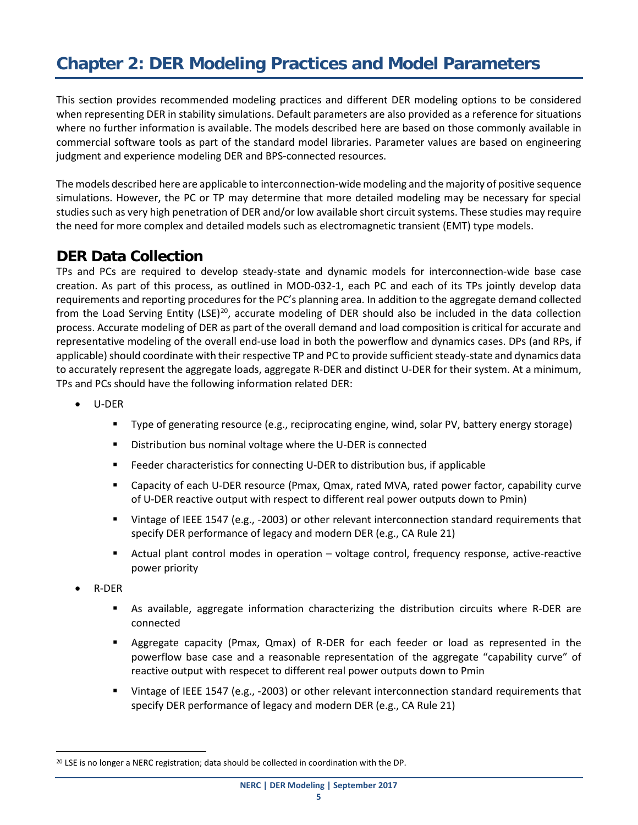## <span id="page-8-0"></span>**Chapter 2: DER Modeling Practices and Model Parameters**

This section provides recommended modeling practices and different DER modeling options to be considered when representing DER in stability simulations. Default parameters are also provided as a reference for situations where no further information is available. The models described here are based on those commonly available in commercial software tools as part of the standard model libraries. Parameter values are based on engineering judgment and experience modeling DER and BPS-connected resources.

The models described here are applicable to interconnection-wide modeling and the majority of positive sequence simulations. However, the PC or TP may determine that more detailed modeling may be necessary for special studies such as very high penetration of DER and/or low available short circuit systems. These studies may require the need for more complex and detailed models such as electromagnetic transient (EMT) type models.

## <span id="page-8-1"></span>**DER Data Collection**

TPs and PCs are required to develop steady-state and dynamic models for interconnection-wide base case creation. As part of this process, as outlined in MOD-032-1, each PC and each of its TPs jointly develop data requirements and reporting procedures for the PC's planning area. In addition to the aggregate demand collected from the Load Serving Entity (LSE)<sup>20</sup>, accurate modeling of DER should also be included in the data collection process. Accurate modeling of DER as part of the overall demand and load composition is critical for accurate and representative modeling of the overall end-use load in both the powerflow and dynamics cases. DPs (and RPs, if applicable) should coordinate with their respective TP and PC to provide sufficient steady-state and dynamics data to accurately represent the aggregate loads, aggregate R-DER and distinct U-DER for their system. At a minimum, TPs and PCs should have the following information related DER:

- U-DER
	- Type of generating resource (e.g., reciprocating engine, wind, solar PV, battery energy storage)
	- **Distribution bus nominal voltage where the U-DER is connected**
	- **Feeder characteristics for connecting U-DER to distribution bus, if applicable**
	- Capacity of each U-DER resource (Pmax, Qmax, rated MVA, rated power factor, capability curve of U-DER reactive output with respect to different real power outputs down to Pmin)
	- Vintage of IEEE 1547 (e.g., -2003) or other relevant interconnection standard requirements that specify DER performance of legacy and modern DER (e.g., CA Rule 21)
	- Actual plant control modes in operation voltage control, frequency response, active-reactive power priority
- R-DER
	- As available, aggregate information characterizing the distribution circuits where R-DER are connected
	- Aggregate capacity (Pmax, Qmax) of R-DER for each feeder or load as represented in the powerflow base case and a reasonable representation of the aggregate "capability curve" of reactive output with respecet to different real power outputs down to Pmin
	- Vintage of IEEE 1547 (e.g., -2003) or other relevant interconnection standard requirements that specify DER performance of legacy and modern DER (e.g., CA Rule 21)

<span id="page-8-2"></span><sup>&</sup>lt;sup>20</sup> LSE is no longer a NERC registration; data should be collected in coordination with the DP.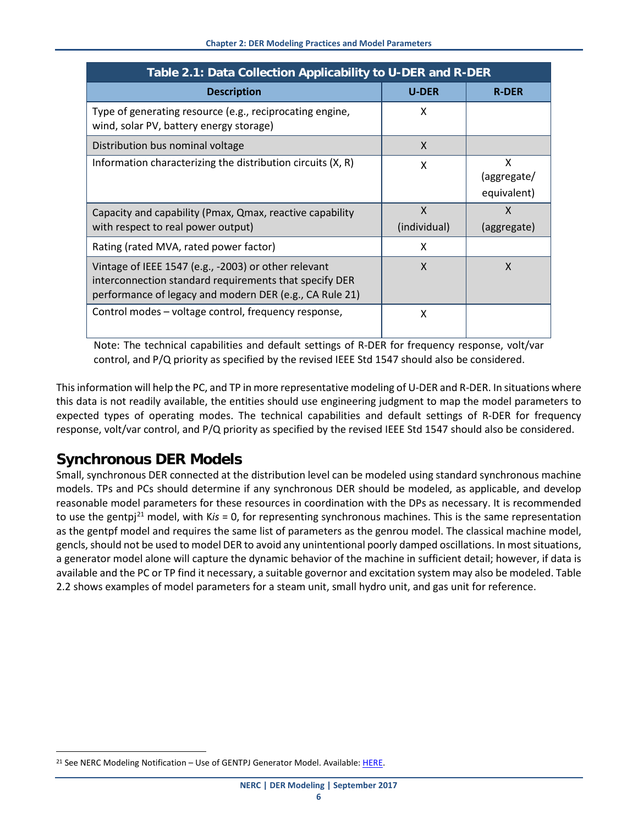| Table 2.1: Data Collection Applicability to U-DER and R-DER                                                                                                               |                              |                                 |  |  |  |  |  |
|---------------------------------------------------------------------------------------------------------------------------------------------------------------------------|------------------------------|---------------------------------|--|--|--|--|--|
| <b>Description</b>                                                                                                                                                        | <b>U-DER</b>                 | <b>R-DER</b>                    |  |  |  |  |  |
| Type of generating resource (e.g., reciprocating engine,<br>wind, solar PV, battery energy storage)                                                                       | X                            |                                 |  |  |  |  |  |
| Distribution bus nominal voltage                                                                                                                                          | $\mathsf{x}$                 |                                 |  |  |  |  |  |
| Information characterizing the distribution circuits (X, R)                                                                                                               | X                            | x<br>(aggregate/<br>equivalent) |  |  |  |  |  |
| Capacity and capability (Pmax, Qmax, reactive capability<br>with respect to real power output)                                                                            | $\mathsf{x}$<br>(individual) | X<br>(aggregate)                |  |  |  |  |  |
| Rating (rated MVA, rated power factor)                                                                                                                                    | X                            |                                 |  |  |  |  |  |
| Vintage of IEEE 1547 (e.g., -2003) or other relevant<br>interconnection standard requirements that specify DER<br>performance of legacy and modern DER (e.g., CA Rule 21) | X                            | X                               |  |  |  |  |  |
| Control modes - voltage control, frequency response,                                                                                                                      | X                            |                                 |  |  |  |  |  |

Note: The technical capabilities and default settings of R-DER for frequency response, volt/var control, and P/Q priority as specified by the revised IEEE Std 1547 should also be considered.

This information will help the PC, and TP in more representative modeling of U-DER and R-DER. In situations where this data is not readily available, the entities should use engineering judgment to map the model parameters to expected types of operating modes. The technical capabilities and default settings of R-DER for frequency response, volt/var control, and P/Q priority as specified by the revised IEEE Std 1547 should also be considered.

## <span id="page-9-0"></span>**Synchronous DER Models**

Small, synchronous DER connected at the distribution level can be modeled using standard synchronous machine models. TPs and PCs should determine if any synchronous DER should be modeled, as applicable, and develop reasonable model parameters for these resources in coordination with the DPs as necessary. It is recommended to use the gentpj[21](#page-9-1) model, with K*is* = 0, for representing synchronous machines. This is the same representation as the gentpf model and requires the same list of parameters as the genrou model. The classical machine model, gencls, should not be used to model DER to avoid any unintentional poorly damped oscillations. In most situations, a generator model alone will capture the dynamic behavior of the machine in sufficient detail; however, if data is available and the PC or TP find it necessary, a suitable governor and excitation system may also be modeled. Table 2.2 shows examples of model parameters for a steam unit, small hydro unit, and gas unit for reference.

<span id="page-9-1"></span> <sup>21</sup> See NERC Modeling Notification – Use of GENTPJ Generator Model. Available[: HERE.](http://www.nerc.com/comm/PC/NERCModelingNotifications/Modeling%20Notification%20%E2%80%93%20Use%20of%20GENTPJ%20Generator%20Model.pdf)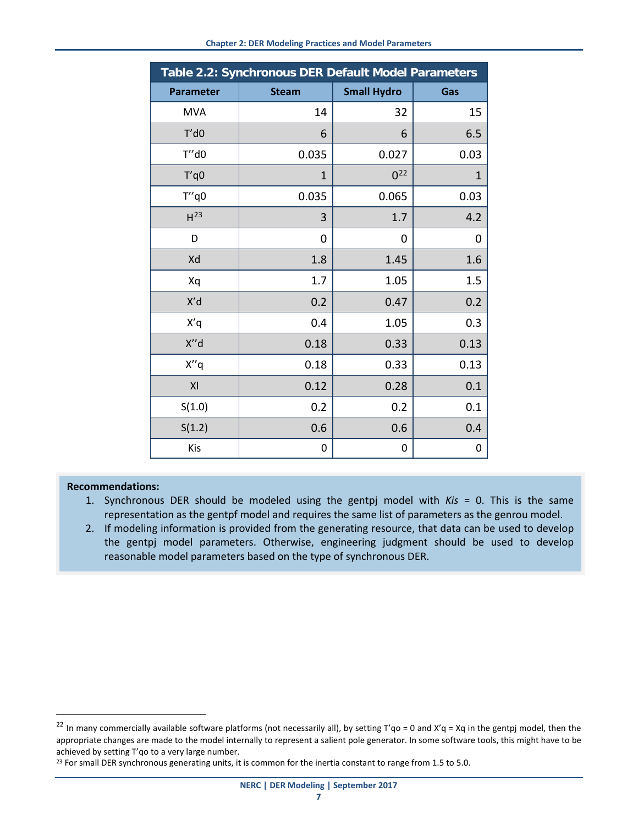| Table 2.2: Synchronous DER Default Model Parameters |              |                    |                  |  |  |  |  |  |
|-----------------------------------------------------|--------------|--------------------|------------------|--|--|--|--|--|
| <b>Parameter</b>                                    | <b>Steam</b> | <b>Small Hydro</b> | Gas              |  |  |  |  |  |
| <b>MVA</b>                                          | 14           | 32                 | 15               |  |  |  |  |  |
| $T'$ d $0$                                          | 6            | 6                  | 6.5              |  |  |  |  |  |
| $T''$ d $0$                                         | 0.035        | 0.027              | 0.03             |  |  |  |  |  |
| T'q0                                                | $\mathbf{1}$ | $0^{22}$           | $\mathbf{1}$     |  |  |  |  |  |
| $T''$ q0                                            | 0.035        | 0.065              | 0.03             |  |  |  |  |  |
| H <sup>23</sup>                                     | 3            | 1.7                | 4.2              |  |  |  |  |  |
| D                                                   | 0            | 0                  | 0                |  |  |  |  |  |
| Xd                                                  | 1.8          | 1.45               | 1.6              |  |  |  |  |  |
| Xq                                                  | 1.7          | 1.05               | 1.5              |  |  |  |  |  |
| X'd                                                 | 0.2          | 0.47               | 0.2              |  |  |  |  |  |
| X'q                                                 | 0.4          | 1.05               | 0.3              |  |  |  |  |  |
| X"d                                                 | 0.18         | 0.33               | 0.13             |  |  |  |  |  |
| X"q                                                 | 0.18         | 0.33               | 0.13             |  |  |  |  |  |
| XI                                                  | 0.12         | 0.28               | 0.1              |  |  |  |  |  |
| S(1.0)                                              | 0.2          | 0.2                | 0.1              |  |  |  |  |  |
| S(1.2)                                              | 0.6          | 0.6                | 0.4              |  |  |  |  |  |
| Kis                                                 | 0            | 0                  | $\boldsymbol{0}$ |  |  |  |  |  |

- 1. Synchronous DER should be modeled using the gentpj model with *Kis* = 0. This is the same representation as the gentpf model and requires the same list of parameters as the genrou model.
- 2. If modeling information is provided from the generating resource, that data can be used to develop the gentpj model parameters. Otherwise, engineering judgment should be used to develop reasonable model parameters based on the type of synchronous DER.

<span id="page-10-0"></span><sup>&</sup>lt;sup>22</sup> In many commercially available software platforms (not necessarily all), by setting T'qo = 0 and X'q = Xq in the gentpj model, then the appropriate changes are made to the model internally to represent a salient pole generator. In some software tools, this might have to be achieved by setting T'qo to a very large number.

<span id="page-10-1"></span><sup>&</sup>lt;sup>23</sup> For small DER synchronous generating units, it is common for the inertia constant to range from 1.5 to 5.0.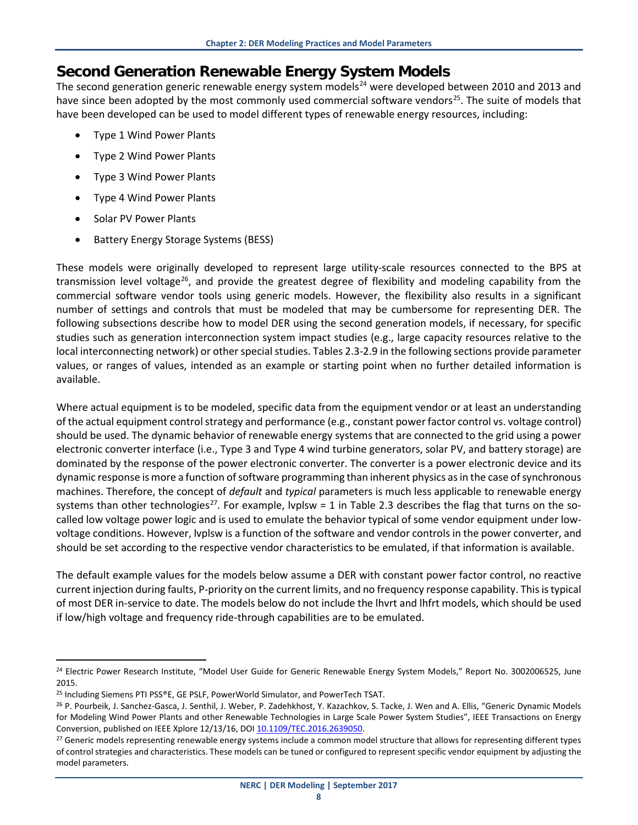## <span id="page-11-0"></span>**Second Generation Renewable Energy System Models**

The second generation generic renewable energy system models<sup>[24](#page-11-1)</sup> were developed between 2010 and 2013 and have since been adopted by the most commonly used commercial software vendors<sup>[25](#page-11-2)</sup>. The suite of models that have been developed can be used to model different types of renewable energy resources, including:

- Type 1 Wind Power Plants
- Type 2 Wind Power Plants
- Type 3 Wind Power Plants
- Type 4 Wind Power Plants
- Solar PV Power Plants
- Battery Energy Storage Systems (BESS)

These models were originally developed to represent large utility-scale resources connected to the BPS at transmission level voltage<sup>26</sup>, and provide the greatest degree of flexibility and modeling capability from the commercial software vendor tools using generic models. However, the flexibility also results in a significant number of settings and controls that must be modeled that may be cumbersome for representing DER. The following subsections describe how to model DER using the second generation models, if necessary, for specific studies such as generation interconnection system impact studies (e.g., large capacity resources relative to the local interconnecting network) or other special studies. Tables 2.3-2.9 in the following sections provide parameter values, or ranges of values, intended as an example or starting point when no further detailed information is available.

Where actual equipment is to be modeled, specific data from the equipment vendor or at least an understanding of the actual equipment control strategy and performance (e.g., constant power factor control vs. voltage control) should be used. The dynamic behavior of renewable energy systems that are connected to the grid using a power electronic converter interface (i.e., Type 3 and Type 4 wind turbine generators, solar PV, and battery storage) are dominated by the response of the power electronic converter. The converter is a power electronic device and its dynamic response is more a function of software programming than inherent physics as in the case of synchronous machines. Therefore, the concept of *default* and *typical* parameters is much less applicable to renewable energy systems than other technologies<sup>27</sup>. For example, lvplsw = 1 in Table 2.3 describes the flag that turns on the socalled low voltage power logic and is used to emulate the behavior typical of some vendor equipment under lowvoltage conditions. However, lvplsw is a function of the software and vendor controls in the power converter, and should be set according to the respective vendor characteristics to be emulated, if that information is available.

The default example values for the models below assume a DER with constant power factor control, no reactive current injection during faults, P-priority on the current limits, and no frequency response capability. This is typical of most DER in-service to date. The models below do not include the lhvrt and lhfrt models, which should be used if low/high voltage and frequency ride-through capabilities are to be emulated.

<span id="page-11-1"></span><sup>&</sup>lt;sup>24</sup> Electric Power Research Institute, "Model User Guide for Generic Renewable Energy System Models," Report No. 3002006525, June 2015.

<span id="page-11-2"></span><sup>25</sup> Including Siemens PTI PSS®E, GE PSLF, PowerWorld Simulator, and PowerTech TSAT.

<span id="page-11-3"></span><sup>&</sup>lt;sup>26</sup> P. Pourbeik, J. Sanchez-Gasca, J. Senthil, J. Weber, P. Zadehkhost, Y. Kazachkov, S. Tacke, J. Wen and A. Ellis, "Generic Dynamic Models for Modeling Wind Power Plants and other Renewable Technologies in Large Scale Power System Studies", IEEE Transactions on Energy Conversion, published on IEEE Xplore 12/13/16, DO[I 10.1109/TEC.2016.2639050.](https://doi.org/10.1109/TEC.2016.2639050)

<span id="page-11-4"></span><sup>&</sup>lt;sup>27</sup> Generic models representing renewable energy systems include a common model structure that allows for representing different types of control strategies and characteristics. These models can be tuned or configured to represent specific vendor equipment by adjusting the model parameters.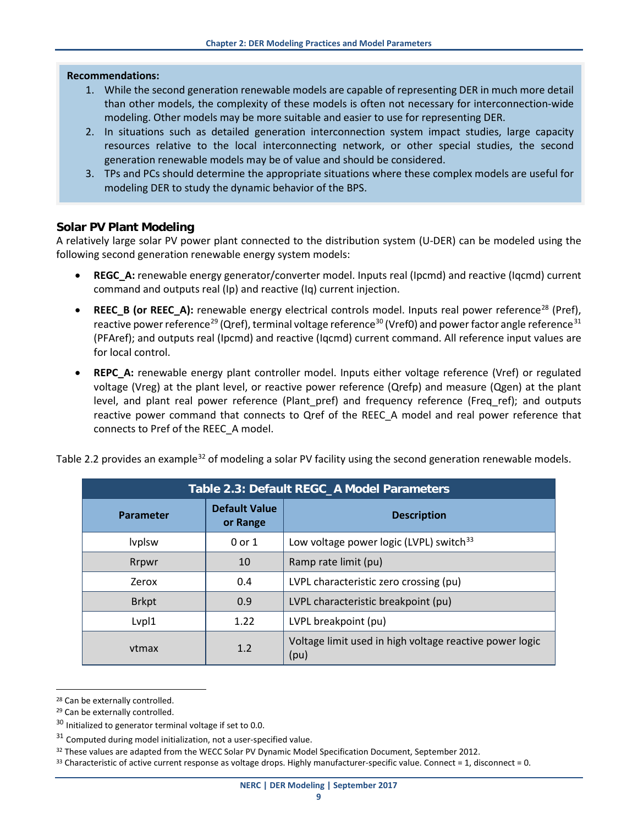#### **Recommendations:**

- 1. While the second generation renewable models are capable of representing DER in much more detail than other models, the complexity of these models is often not necessary for interconnection-wide modeling. Other models may be more suitable and easier to use for representing DER.
- 2. In situations such as detailed generation interconnection system impact studies, large capacity resources relative to the local interconnecting network, or other special studies, the second generation renewable models may be of value and should be considered.
- 3. TPs and PCs should determine the appropriate situations where these complex models are useful for modeling DER to study the dynamic behavior of the BPS.

#### <span id="page-12-0"></span>**Solar PV Plant Modeling**

A relatively large solar PV power plant connected to the distribution system (U-DER) can be modeled using the following second generation renewable energy system models:

- **REGC\_A:** renewable energy generator/converter model. Inputs real (Ipcmd) and reactive (Iqcmd) current command and outputs real (Ip) and reactive (Iq) current injection.
- REEC\_B (or REEC\_A): renewable energy electrical controls model. Inputs real power reference<sup>[28](#page-12-1)</sup> (Pref), reactive power reference<sup>[29](#page-12-2)</sup> (Qref), terminal voltage reference<sup>[30](#page-12-3)</sup> (Vref0) and power factor angle reference<sup>[31](#page-12-4)</sup> (PFAref); and outputs real (Ipcmd) and reactive (Iqcmd) current command. All reference input values are for local control.
- **REPC\_A:** renewable energy plant controller model. Inputs either voltage reference (Vref) or regulated voltage (Vreg) at the plant level, or reactive power reference (Qrefp) and measure (Qgen) at the plant level, and plant real power reference (Plant\_pref) and frequency reference (Freq\_ref); and outputs reactive power command that connects to Qref of the REEC\_A model and real power reference that connects to Pref of the REEC\_A model.

| Table 2.3: Default REGC_A Model Parameters |                                  |                                                                 |  |  |  |  |
|--------------------------------------------|----------------------------------|-----------------------------------------------------------------|--|--|--|--|
| Parameter                                  | <b>Default Value</b><br>or Range | <b>Description</b>                                              |  |  |  |  |
| <b>lvplsw</b>                              | $0$ or $1$                       | Low voltage power logic (LVPL) switch <sup>33</sup>             |  |  |  |  |
| Rrpwr                                      | 10                               | Ramp rate limit (pu)                                            |  |  |  |  |
| Zerox                                      | 0.4                              | LVPL characteristic zero crossing (pu)                          |  |  |  |  |
| <b>Brkpt</b>                               | 0.9                              | LVPL characteristic breakpoint (pu)                             |  |  |  |  |
| Lvpl1                                      | 1.22                             | LVPL breakpoint (pu)                                            |  |  |  |  |
| vtmax                                      | 1.2                              | Voltage limit used in high voltage reactive power logic<br>(pu) |  |  |  |  |

Table 2.2 provides an example<sup>[32](#page-12-5)</sup> of modeling a solar PV facility using the second generation renewable models.

<span id="page-12-1"></span><sup>&</sup>lt;sup>28</sup> Can be externally controlled.

<span id="page-12-2"></span><sup>29</sup> Can be externally controlled.

<span id="page-12-3"></span><sup>&</sup>lt;sup>30</sup> Initialized to generator terminal voltage if set to 0.0.

<span id="page-12-4"></span> $31$  Computed during model initialization, not a user-specified value.

<span id="page-12-5"></span><sup>&</sup>lt;sup>32</sup> These values are adapted from the WECC Solar PV Dynamic Model Specification Document, September 2012.

<span id="page-12-6"></span> $33$  Characteristic of active current response as voltage drops. Highly manufacturer-specific value. Connect = 1, disconnect = 0.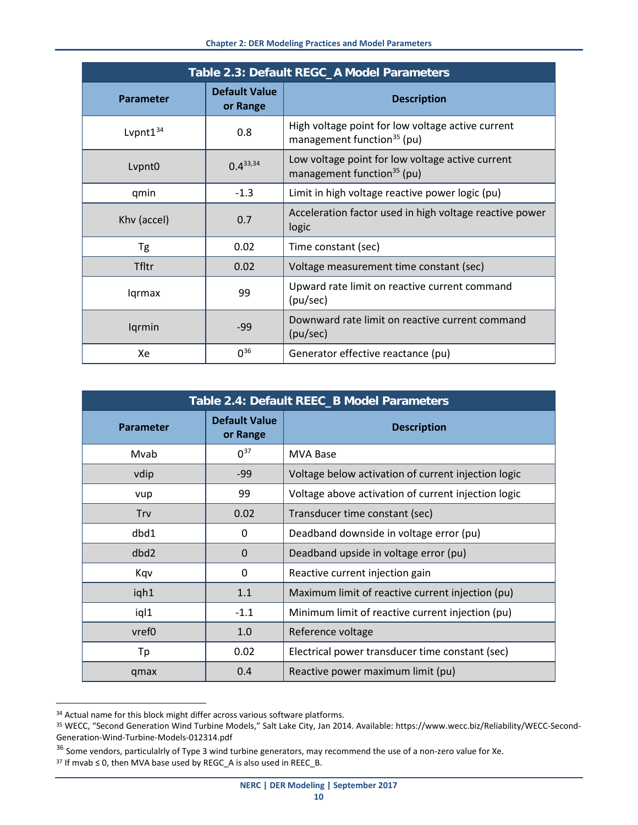<span id="page-13-0"></span>

| Table 2.3: Default REGC_A Model Parameters |                                  |                                                                                             |  |  |  |  |
|--------------------------------------------|----------------------------------|---------------------------------------------------------------------------------------------|--|--|--|--|
| <b>Parameter</b>                           | <b>Default Value</b><br>or Range | <b>Description</b>                                                                          |  |  |  |  |
| Lvpnt $1^{34}$                             | 0.8                              | High voltage point for low voltage active current<br>management function <sup>35</sup> (pu) |  |  |  |  |
| Lypnt <sub>0</sub>                         | $0.4^{33,34}$                    | Low voltage point for low voltage active current<br>management function <sup>35</sup> (pu)  |  |  |  |  |
| qmin                                       | $-1.3$                           | Limit in high voltage reactive power logic (pu)                                             |  |  |  |  |
| Khv (accel)                                | 0.7                              | Acceleration factor used in high voltage reactive power<br>logic                            |  |  |  |  |
| Tg                                         | 0.02                             | Time constant (sec)                                                                         |  |  |  |  |
| Tfltr                                      | 0.02                             | Voltage measurement time constant (sec)                                                     |  |  |  |  |
| Iqrmax                                     | 99                               | Upward rate limit on reactive current command<br>(pu/sec)                                   |  |  |  |  |
| Iqrmin                                     | -99                              | Downward rate limit on reactive current command<br>(pu/sec)                                 |  |  |  |  |
| Xe                                         | $0^{36}$                         | Generator effective reactance (pu)                                                          |  |  |  |  |

| Table 2.4: Default REEC_B Model Parameters |                                  |                                                     |  |  |  |  |
|--------------------------------------------|----------------------------------|-----------------------------------------------------|--|--|--|--|
| <b>Parameter</b>                           | <b>Default Value</b><br>or Range | <b>Description</b>                                  |  |  |  |  |
| Mvab                                       | $0^{37}$                         | <b>MVA Base</b>                                     |  |  |  |  |
| vdip                                       | $-99$                            | Voltage below activation of current injection logic |  |  |  |  |
| vup                                        | 99                               | Voltage above activation of current injection logic |  |  |  |  |
| <b>Trv</b>                                 | 0.02                             | Transducer time constant (sec)                      |  |  |  |  |
| dbd1                                       | 0                                | Deadband downside in voltage error (pu)             |  |  |  |  |
| dbd <sub>2</sub>                           | 0                                | Deadband upside in voltage error (pu)               |  |  |  |  |
| Kqv                                        | 0                                | Reactive current injection gain                     |  |  |  |  |
| iqh1                                       | 1.1                              | Maximum limit of reactive current injection (pu)    |  |  |  |  |
| iql1                                       | $-1.1$                           | Minimum limit of reactive current injection (pu)    |  |  |  |  |
| vref <sub>0</sub>                          | 1.0                              | Reference voltage                                   |  |  |  |  |
| Tp                                         | 0.02                             | Electrical power transducer time constant (sec)     |  |  |  |  |
| qmax                                       | 0.4                              | Reactive power maximum limit (pu)                   |  |  |  |  |

<span id="page-13-1"></span><sup>&</sup>lt;sup>34</sup> Actual name for this block might differ across various software platforms.

<span id="page-13-2"></span><sup>35</sup> WECC, "Second Generation Wind Turbine Models," Salt Lake City, Jan 2014. Available: https://www.wecc.biz/Reliability/WECC-Second-Generation-Wind-Turbine-Models-012314.pdf

<span id="page-13-3"></span><sup>&</sup>lt;sup>36</sup> Some vendors, particulalrly of Type 3 wind turbine generators, may recommend the use of a non-zero value for Xe.

<span id="page-13-4"></span> $37$  If mvab  $\leq$  0, then MVA base used by REGC\_A is also used in REEC\_B.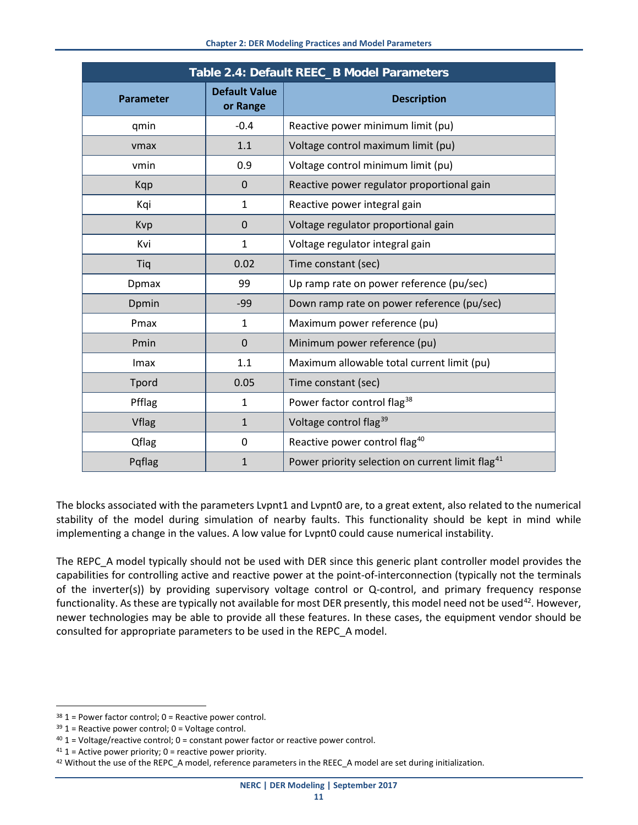| Table 2.4: Default REEC_B Model Parameters |                                  |                                                              |  |  |  |  |
|--------------------------------------------|----------------------------------|--------------------------------------------------------------|--|--|--|--|
| <b>Parameter</b>                           | <b>Default Value</b><br>or Range | <b>Description</b>                                           |  |  |  |  |
| qmin                                       | $-0.4$                           | Reactive power minimum limit (pu)                            |  |  |  |  |
| vmax                                       | 1.1                              | Voltage control maximum limit (pu)                           |  |  |  |  |
| vmin                                       | 0.9                              | Voltage control minimum limit (pu)                           |  |  |  |  |
| Kqp                                        | $\mathbf 0$                      | Reactive power regulator proportional gain                   |  |  |  |  |
| Kqi                                        | $\mathbf{1}$                     | Reactive power integral gain                                 |  |  |  |  |
| Kvp                                        | $\mathbf 0$                      | Voltage regulator proportional gain                          |  |  |  |  |
| Kvi                                        | $\mathbf{1}$                     | Voltage regulator integral gain                              |  |  |  |  |
| Tiq                                        | 0.02                             | Time constant (sec)                                          |  |  |  |  |
| <b>Dpmax</b>                               | 99                               | Up ramp rate on power reference (pu/sec)                     |  |  |  |  |
| Dpmin                                      | $-99$                            | Down ramp rate on power reference (pu/sec)                   |  |  |  |  |
| Pmax                                       | $\mathbf{1}$                     | Maximum power reference (pu)                                 |  |  |  |  |
| Pmin                                       | $\mathbf 0$                      | Minimum power reference (pu)                                 |  |  |  |  |
| Imax                                       | 1.1                              | Maximum allowable total current limit (pu)                   |  |  |  |  |
| Tpord                                      | 0.05                             | Time constant (sec)                                          |  |  |  |  |
| Pfflag                                     | $\mathbf{1}$                     | Power factor control flag <sup>38</sup>                      |  |  |  |  |
| <b>Vflag</b>                               | $\mathbf{1}$                     | Voltage control flag <sup>39</sup>                           |  |  |  |  |
| <b>Qflag</b>                               | 0                                | Reactive power control flag40                                |  |  |  |  |
| Pqflag                                     | $\mathbf{1}$                     | Power priority selection on current limit flag <sup>41</sup> |  |  |  |  |

The blocks associated with the parameters Lvpnt1 and Lvpnt0 are, to a great extent, also related to the numerical stability of the model during simulation of nearby faults. This functionality should be kept in mind while implementing a change in the values. A low value for Lvpnt0 could cause numerical instability.

The REPC A model typically should not be used with DER since this generic plant controller model provides the capabilities for controlling active and reactive power at the point-of-interconnection (typically not the terminals of the inverter(s)) by providing supervisory voltage control or Q-control, and primary frequency response functionality. As these are typically not available for most DER presently, this model need not be used<sup>42</sup>. However, newer technologies may be able to provide all these features. In these cases, the equipment vendor should be consulted for appropriate parameters to be used in the REPC\_A model.

<span id="page-14-0"></span> $38$  1 = Power factor control; 0 = Reactive power control.

<span id="page-14-1"></span> $39$  1 = Reactive power control; 0 = Voltage control.

<span id="page-14-2"></span> $40$  1 = Voltage/reactive control; 0 = constant power factor or reactive power control.

<span id="page-14-3"></span><sup>&</sup>lt;sup>41</sup> 1 = Active power priority;  $0 =$  reactive power priority.

<span id="page-14-4"></span><sup>42</sup> Without the use of the REPC\_A model, reference parameters in the REEC\_A model are set during initialization.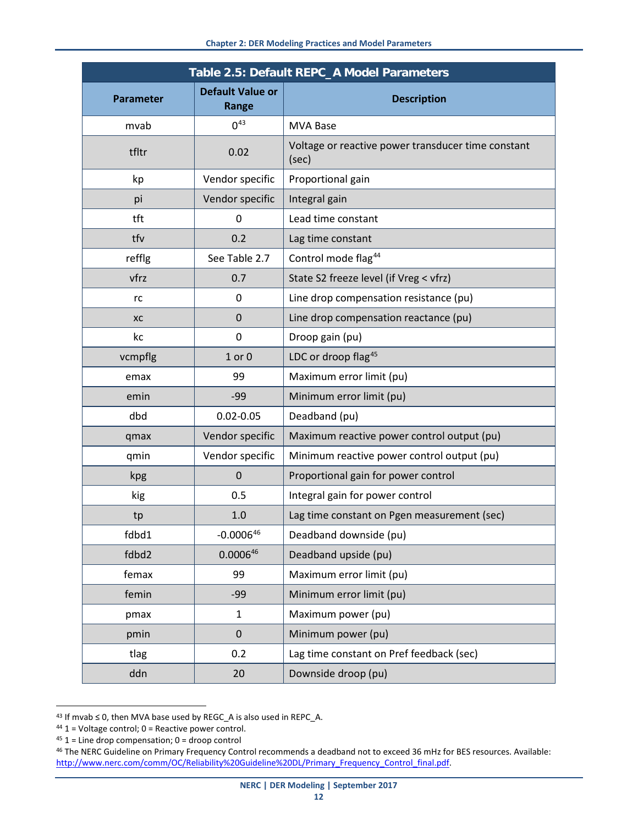| Table 2.5: Default REPC_A Model Parameters |                                  |                                                             |  |  |  |  |
|--------------------------------------------|----------------------------------|-------------------------------------------------------------|--|--|--|--|
| <b>Parameter</b>                           | <b>Default Value or</b><br>Range | <b>Description</b>                                          |  |  |  |  |
| mvab                                       | $0^{43}$                         | <b>MVA Base</b>                                             |  |  |  |  |
| tfltr                                      | 0.02                             | Voltage or reactive power transducer time constant<br>(sec) |  |  |  |  |
| kp                                         | Vendor specific                  | Proportional gain                                           |  |  |  |  |
| pi                                         | Vendor specific                  | Integral gain                                               |  |  |  |  |
| tft                                        | $\mathbf{0}$                     | Lead time constant                                          |  |  |  |  |
| tfv                                        | 0.2                              | Lag time constant                                           |  |  |  |  |
| refflg                                     | See Table 2.7                    | Control mode flag <sup>44</sup>                             |  |  |  |  |
| vfrz                                       | 0.7                              | State S2 freeze level (if Vreg < vfrz)                      |  |  |  |  |
| rc                                         | $\mathbf 0$                      | Line drop compensation resistance (pu)                      |  |  |  |  |
| XC                                         | $\mathbf 0$                      | Line drop compensation reactance (pu)                       |  |  |  |  |
| kc                                         | 0                                | Droop gain (pu)                                             |  |  |  |  |
| vcmpflg                                    | $1$ or $0$                       | LDC or droop flag <sup>45</sup>                             |  |  |  |  |
| emax                                       | 99                               | Maximum error limit (pu)                                    |  |  |  |  |
| emin                                       | $-99$                            | Minimum error limit (pu)                                    |  |  |  |  |
| dbd                                        | $0.02 - 0.05$                    | Deadband (pu)                                               |  |  |  |  |
| qmax                                       | Vendor specific                  | Maximum reactive power control output (pu)                  |  |  |  |  |
| qmin                                       | Vendor specific                  | Minimum reactive power control output (pu)                  |  |  |  |  |
| kpg                                        | $\mathbf 0$                      | Proportional gain for power control                         |  |  |  |  |
| kig                                        | 0.5                              | Integral gain for power control                             |  |  |  |  |
| tp                                         | 1.0                              | Lag time constant on Pgen measurement (sec)                 |  |  |  |  |
| fdbd1                                      | $-0.000646$                      | Deadband downside (pu)                                      |  |  |  |  |
| fdbd2                                      | $0.0006^{46}$                    | Deadband upside (pu)                                        |  |  |  |  |
| femax                                      | 99                               | Maximum error limit (pu)                                    |  |  |  |  |
| femin                                      | $-99$                            | Minimum error limit (pu)                                    |  |  |  |  |
| pmax                                       | $\mathbf{1}$                     | Maximum power (pu)                                          |  |  |  |  |
| pmin                                       | $\mathbf 0$                      | Minimum power (pu)                                          |  |  |  |  |
| tlag                                       | 0.2                              | Lag time constant on Pref feedback (sec)                    |  |  |  |  |
| ddn                                        | 20                               | Downside droop (pu)                                         |  |  |  |  |

<span id="page-15-1"></span><span id="page-15-0"></span> $43$  If mvab  $\leq$  0, then MVA base used by REGC\_A is also used in REPC\_A.

<span id="page-15-2"></span> $44$  1 = Voltage control; 0 = Reactive power control.

<span id="page-15-3"></span> $45$  1 = Line drop compensation; 0 = droop control

<span id="page-15-4"></span><sup>46</sup> The NERC Guideline on Primary Frequency Control recommends a deadband not to exceed 36 mHz for BES resources. Available: [http://www.nerc.com/comm/OC/Reliability%20Guideline%20DL/Primary\\_Frequency\\_Control\\_final.pdf.](http://www.nerc.com/comm/OC/Reliability%20Guideline%20DL/Primary_Frequency_Control_final.pdf)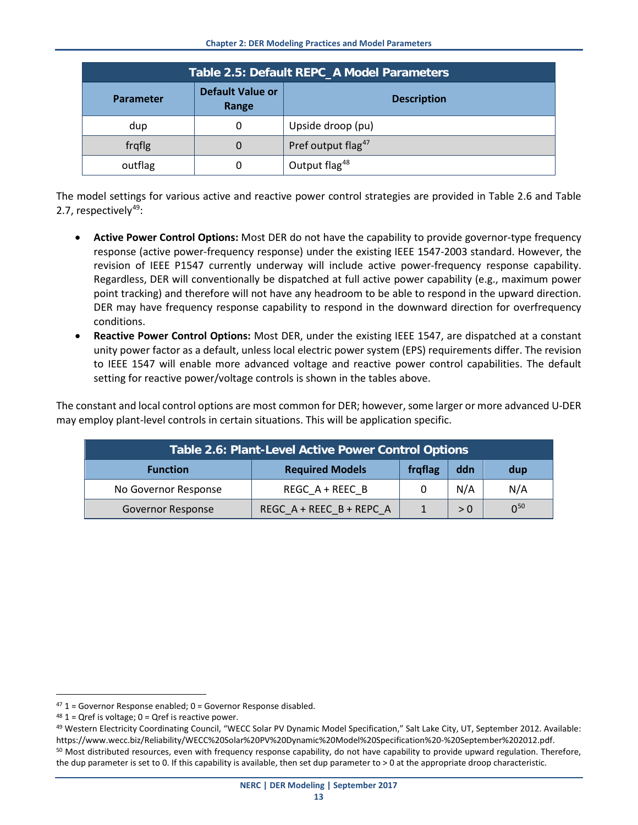| <b>Table 2.5: Default REPC_A Model Parameters</b> |                                  |                                |  |  |  |  |  |
|---------------------------------------------------|----------------------------------|--------------------------------|--|--|--|--|--|
| <b>Parameter</b>                                  | <b>Default Value or</b><br>Range | <b>Description</b>             |  |  |  |  |  |
| dup                                               | 0                                | Upside droop (pu)              |  |  |  |  |  |
| frqflg                                            | 0                                | Pref output flag <sup>47</sup> |  |  |  |  |  |
| outflag                                           |                                  | Output flag <sup>48</sup>      |  |  |  |  |  |

The model settings for various active and reactive power control strategies are provided in Table 2.6 and Table 2.7, respectively $49$ :

- **Active Power Control Options:** Most DER do not have the capability to provide governor-type frequency response (active power-frequency response) under the existing IEEE 1547-2003 standard. However, the revision of IEEE P1547 currently underway will include active power-frequency response capability. Regardless, DER will conventionally be dispatched at full active power capability (e.g., maximum power point tracking) and therefore will not have any headroom to be able to respond in the upward direction. DER may have frequency response capability to respond in the downward direction for overfrequency conditions.
- **Reactive Power Control Options:** Most DER, under the existing IEEE 1547, are dispatched at a constant unity power factor as a default, unless local electric power system (EPS) requirements differ. The revision to IEEE 1547 will enable more advanced voltage and reactive power control capabilities. The default setting for reactive power/voltage controls is shown in the tables above.

The constant and local control options are most common for DER; however, some larger or more advanced U-DER may employ plant-level controls in certain situations. This will be application specific.

| Table 2.6: Plant-Level Active Power Control Options |                          |         |     |          |  |
|-----------------------------------------------------|--------------------------|---------|-----|----------|--|
| <b>Function</b>                                     | <b>Required Models</b>   | frqflag | ddn | dup      |  |
| No Governor Response                                | REGC A + REEC B          | 0       | N/A | N/A      |  |
| <b>Governor Response</b>                            | REGC A + REEC B + REPC A |         | > 0 | $0^{50}$ |  |

<span id="page-16-0"></span> $47$  1 = Governor Response enabled; 0 = Governor Response disabled.

<span id="page-16-1"></span> $48$  1 = Qref is voltage; 0 = Qref is reactive power.

<span id="page-16-3"></span><span id="page-16-2"></span><sup>49</sup> Western Electricity Coordinating Council, "WECC Solar PV Dynamic Model Specification," Salt Lake City, UT, September 2012. Available: https://www.wecc.biz/Reliability/WECC%20Solar%20PV%20Dynamic%20Model%20Specification%20-%20September%202012.pdf. <sup>50</sup> Most distributed resources, even with frequency response capability, do not have capability to provide upward regulation. Therefore, the dup parameter is set to 0. If this capability is available, then set dup parameter to > 0 at the appropriate droop characteristic.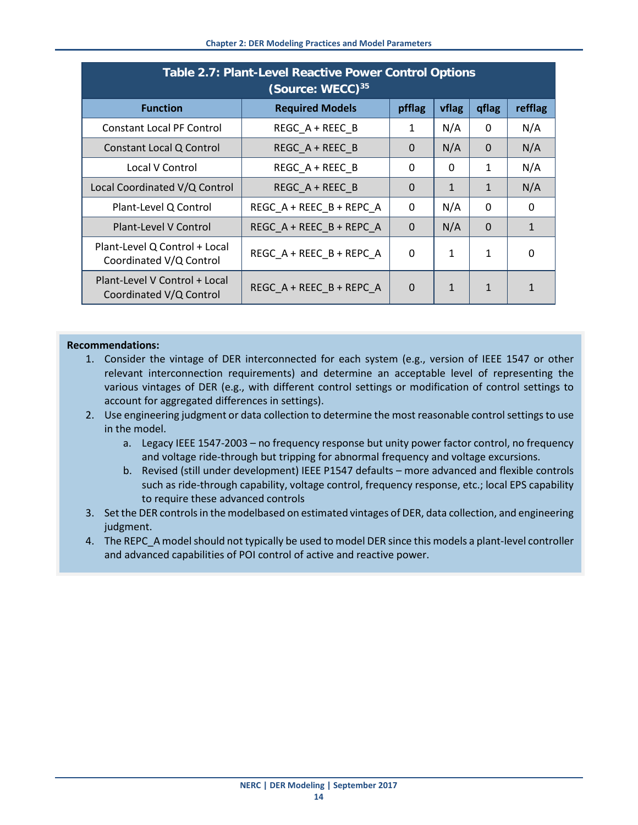| Table 2.7: Plant-Level Reactive Power Control Options<br>(Source: WECC) <sup>35</sup> |                          |          |              |          |              |  |
|---------------------------------------------------------------------------------------|--------------------------|----------|--------------|----------|--------------|--|
| <b>Function</b>                                                                       | <b>Required Models</b>   | pfflag   | vflag        | qflag    | refflag      |  |
| <b>Constant Local PF Control</b>                                                      | REGC A + REEC B          | 1        | N/A          | 0        | N/A          |  |
| Constant Local Q Control                                                              | REGC A + REEC B          | $\Omega$ | N/A          | $\Omega$ | N/A          |  |
| Local V Control                                                                       | REGC A + REEC B          | 0        | 0            | 1        | N/A          |  |
| Local Coordinated V/Q Control                                                         | REGC A + REEC B          | $\Omega$ | $\mathbf{1}$ | 1        | N/A          |  |
| Plant-Level Q Control                                                                 | REGC_A + REEC_B + REPC_A | $\Omega$ | N/A          | $\Omega$ | $\Omega$     |  |
| <b>Plant-Level V Control</b>                                                          | REGC A + REEC B + REPC A | $\Omega$ | N/A          | $\Omega$ | $\mathbf{1}$ |  |
| Plant-Level Q Control + Local<br>Coordinated V/Q Control                              | REGC A + REEC B + REPC A | 0        | $\mathbf{1}$ | 1        | $\Omega$     |  |
| Plant-Level V Control + Local<br>Coordinated V/Q Control                              | REGC A + REEC B + REPC A | 0        | $\mathbf{1}$ | 1        |              |  |

- 1. Consider the vintage of DER interconnected for each system (e.g., version of IEEE 1547 or other relevant interconnection requirements) and determine an acceptable level of representing the various vintages of DER (e.g., with different control settings or modification of control settings to account for aggregated differences in settings).
- 2. Use engineering judgment or data collection to determine the most reasonable control settings to use in the model.
	- a. Legacy IEEE 1547-2003 no frequency response but unity power factor control, no frequency and voltage ride-through but tripping for abnormal frequency and voltage excursions.
	- b. Revised (still under development) IEEE P1547 defaults more advanced and flexible controls such as ride-through capability, voltage control, frequency response, etc.; local EPS capability to require these advanced controls
- 3. Set the DER controls in the modelbased on estimated vintages of DER, data collection, and engineering judgment.
- 4. The REPC A model should not typically be used to model DER since this models a plant-level controller and advanced capabilities of POI control of active and reactive power.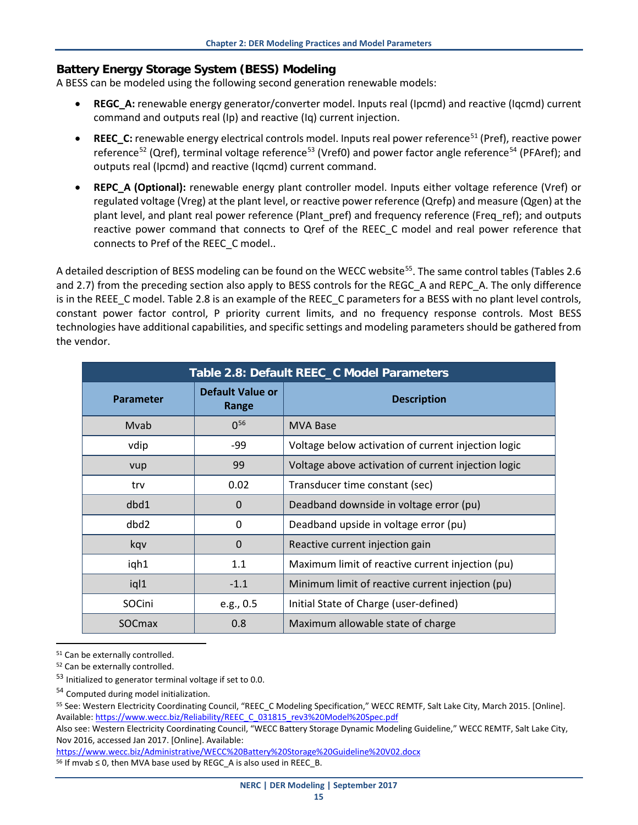#### <span id="page-18-0"></span>**Battery Energy Storage System (BESS) Modeling**

A BESS can be modeled using the following second generation renewable models:

- **REGC\_A:** renewable energy generator/converter model. Inputs real (Ipcmd) and reactive (Iqcmd) current command and outputs real (Ip) and reactive (Iq) current injection.
- **REEC** C: renewable energy electrical controls model. Inputs real power reference<sup>[51](#page-18-1)</sup> (Pref), reactive power reference<sup>[52](#page-18-2)</sup> (Qref), terminal voltage reference<sup>[53](#page-18-3)</sup> (Vref0) and power factor angle reference<sup>[54](#page-18-4)</sup> (PFAref); and outputs real (Ipcmd) and reactive (Iqcmd) current command.
- **REPC\_A (Optional):** renewable energy plant controller model. Inputs either voltage reference (Vref) or regulated voltage (Vreg) at the plant level, or reactive power reference (Qrefp) and measure (Qgen) at the plant level, and plant real power reference (Plant pref) and frequency reference (Freq ref); and outputs reactive power command that connects to Qref of the REEC\_C model and real power reference that connects to Pref of the REEC\_C model..

A detailed description of BESS modeling can be found on the WECC website<sup>[55](#page-18-5)</sup>. The same control tables (Tables 2.6 and 2.7) from the preceding section also apply to BESS controls for the REGC\_A and REPC\_A. The only difference is in the REEE\_C model. Table 2.8 is an example of the REEC\_C parameters for a BESS with no plant level controls, constant power factor control, P priority current limits, and no frequency response controls. Most BESS technologies have additional capabilities, and specific settings and modeling parameters should be gathered from the vendor.

| Table 2.8: Default REEC_C Model Parameters |                           |                                                     |  |
|--------------------------------------------|---------------------------|-----------------------------------------------------|--|
| <b>Parameter</b>                           | Default Value or<br>Range | <b>Description</b>                                  |  |
| Mvab                                       | 0 <sup>56</sup>           | <b>MVA Base</b>                                     |  |
| vdip                                       | -99                       | Voltage below activation of current injection logic |  |
| vup                                        | 99                        | Voltage above activation of current injection logic |  |
| trv                                        | 0.02                      | Transducer time constant (sec)                      |  |
| dbd1                                       | $\Omega$                  | Deadband downside in voltage error (pu)             |  |
| dbd <sub>2</sub>                           | $\mathbf{0}$              | Deadband upside in voltage error (pu)               |  |
| kqv                                        | $\Omega$                  | Reactive current injection gain                     |  |
| iqh1                                       | 1.1                       | Maximum limit of reactive current injection (pu)    |  |
| iql1                                       | $-1.1$                    | Minimum limit of reactive current injection (pu)    |  |
| SOCini                                     | e.g., 0.5                 | Initial State of Charge (user-defined)              |  |
| <b>SOCmax</b>                              | 0.8                       | Maximum allowable state of charge                   |  |

<span id="page-18-1"></span><sup>51</sup> Can be externally controlled.

<span id="page-18-2"></span><sup>52</sup> Can be externally controlled.

<span id="page-18-3"></span> $53$  Initialized to generator terminal voltage if set to 0.0.

<span id="page-18-4"></span><sup>54</sup> Computed during model initialization.

<https://www.wecc.biz/Administrative/WECC%20Battery%20Storage%20Guideline%20V02.docx>

<span id="page-18-6"></span>56 If mvab ≤ 0, then MVA base used by REGC A is also used in REEC B.

<span id="page-18-5"></span><sup>55</sup> See: Western Electricity Coordinating Council, "REEC C Modeling Specification," WECC REMTF, Salt Lake City, March 2015. [Online]. Available[: https://www.wecc.biz/Reliability/REEC\\_C\\_031815\\_rev3%20Model%20Spec.pdf](https://www.wecc.biz/Reliability/REEC_C_031815_rev3%20Model%20Spec.pdf)

Also see: Western Electricity Coordinating Council, "WECC Battery Storage Dynamic Modeling Guideline," WECC REMTF, Salt Lake City, Nov 2016, accessed Jan 2017. [Online]. Available: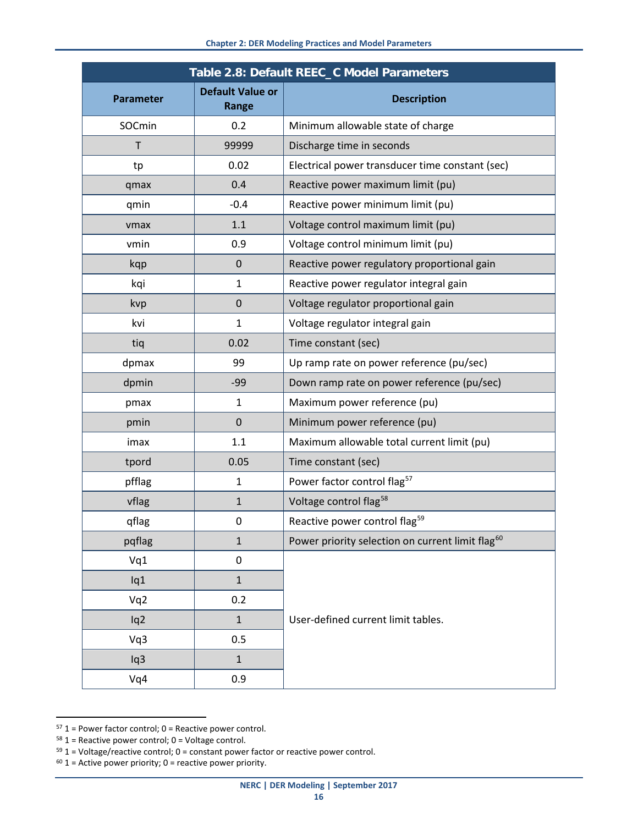| Table 2.8: Default REEC_C Model Parameters |                                  |                                                              |  |
|--------------------------------------------|----------------------------------|--------------------------------------------------------------|--|
| <b>Parameter</b>                           | <b>Default Value or</b><br>Range | <b>Description</b>                                           |  |
| SOCmin                                     | 0.2                              | Minimum allowable state of charge                            |  |
| T                                          | 99999                            | Discharge time in seconds                                    |  |
| tp                                         | 0.02                             | Electrical power transducer time constant (sec)              |  |
| qmax                                       | 0.4                              | Reactive power maximum limit (pu)                            |  |
| qmin                                       | $-0.4$                           | Reactive power minimum limit (pu)                            |  |
| vmax                                       | 1.1                              | Voltage control maximum limit (pu)                           |  |
| vmin                                       | 0.9                              | Voltage control minimum limit (pu)                           |  |
| kqp                                        | $\mathbf 0$                      | Reactive power regulatory proportional gain                  |  |
| kqi                                        | $\mathbf{1}$                     | Reactive power regulator integral gain                       |  |
| kvp                                        | $\mathbf 0$                      | Voltage regulator proportional gain                          |  |
| kvi                                        | $\mathbf{1}$                     | Voltage regulator integral gain                              |  |
| tiq                                        | 0.02                             | Time constant (sec)                                          |  |
| dpmax                                      | 99                               | Up ramp rate on power reference (pu/sec)                     |  |
| dpmin                                      | $-99$                            | Down ramp rate on power reference (pu/sec)                   |  |
| pmax                                       | $\mathbf{1}$                     | Maximum power reference (pu)                                 |  |
| pmin                                       | $\mathbf 0$                      | Minimum power reference (pu)                                 |  |
| imax                                       | 1.1                              | Maximum allowable total current limit (pu)                   |  |
| tpord                                      | 0.05                             | Time constant (sec)                                          |  |
| pfflag                                     | $\mathbf{1}$                     | Power factor control flag <sup>57</sup>                      |  |
| vflag                                      | $\mathbf{1}$                     | Voltage control flag <sup>58</sup>                           |  |
| qflag                                      | 0                                | Reactive power control flag <sup>59</sup>                    |  |
| pqflag                                     | $\mathbf{1}$                     | Power priority selection on current limit flag <sup>60</sup> |  |
| Vq1                                        | $\mathbf 0$                      |                                                              |  |
| Iq1                                        | $\mathbf{1}$                     |                                                              |  |
| Vq2                                        | 0.2                              |                                                              |  |
| lq <sub>2</sub>                            | $\mathbf{1}$                     | User-defined current limit tables.                           |  |
| Vq3                                        | 0.5                              |                                                              |  |
| Iq3                                        | $\mathbf 1$                      |                                                              |  |
| Vq4                                        | 0.9                              |                                                              |  |

<span id="page-19-0"></span> $57$  1 = Power factor control; 0 = Reactive power control.

<span id="page-19-1"></span> $58$  1 = Reactive power control; 0 = Voltage control.

<span id="page-19-2"></span> $59$  1 = Voltage/reactive control; 0 = constant power factor or reactive power control.

<span id="page-19-3"></span> $60$  1 = Active power priority; 0 = reactive power priority.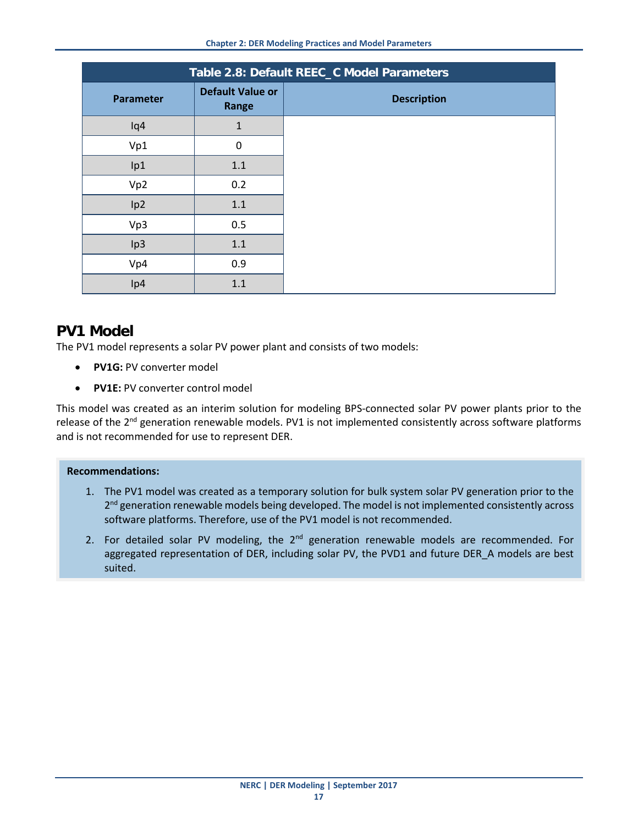| Table 2.8: Default REEC_C Model Parameters |                                  |                    |  |
|--------------------------------------------|----------------------------------|--------------------|--|
| Parameter                                  | <b>Default Value or</b><br>Range | <b>Description</b> |  |
| lq4                                        | $\mathbf{1}$                     |                    |  |
| Vp1                                        | $\mathbf 0$                      |                    |  |
| lp1                                        | 1.1                              |                    |  |
| Vp2                                        | 0.2                              |                    |  |
| lp2                                        | 1.1                              |                    |  |
| Vp3                                        | 0.5                              |                    |  |
| Ip3                                        | 1.1                              |                    |  |
| Vp4                                        | 0.9                              |                    |  |
| lp4                                        | 1.1                              |                    |  |

## <span id="page-20-0"></span>**PV1 Model**

The PV1 model represents a solar PV power plant and consists of two models:

- **PV1G:** PV converter model
- **PV1E:** PV converter control model

This model was created as an interim solution for modeling BPS-connected solar PV power plants prior to the release of the 2<sup>nd</sup> generation renewable models. PV1 is not implemented consistently across software platforms and is not recommended for use to represent DER.

- 1. The PV1 model was created as a temporary solution for bulk system solar PV generation prior to the 2<sup>nd</sup> generation renewable models being developed. The model is not implemented consistently across software platforms. Therefore, use of the PV1 model is not recommended.
- 2. For detailed solar PV modeling, the  $2^{nd}$  generation renewable models are recommended. For aggregated representation of DER, including solar PV, the PVD1 and future DER\_A models are best suited.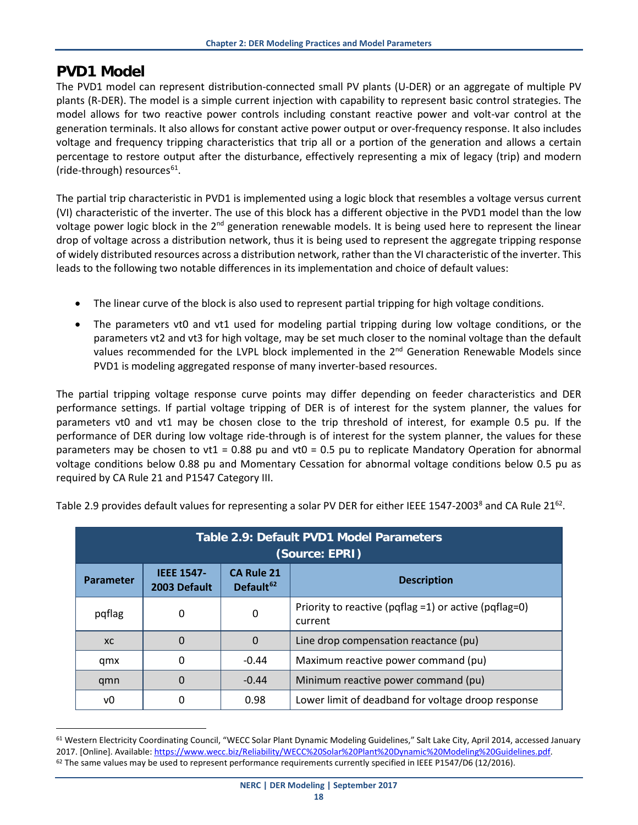### <span id="page-21-0"></span>**PVD1 Model**

The PVD1 model can represent distribution-connected small PV plants (U-DER) or an aggregate of multiple PV plants (R-DER). The model is a simple current injection with capability to represent basic control strategies. The model allows for two reactive power controls including constant reactive power and volt-var control at the generation terminals. It also allows for constant active power output or over-frequency response. It also includes voltage and frequency tripping characteristics that trip all or a portion of the generation and allows a certain percentage to restore output after the disturbance, effectively representing a mix of legacy (trip) and modern (ride-through) resources $61$ .

The partial trip characteristic in PVD1 is implemented using a logic block that resembles a voltage versus current (VI) characteristic of the inverter. The use of this block has a different objective in the PVD1 model than the low voltage power logic block in the 2<sup>nd</sup> generation renewable models. It is being used here to represent the linear drop of voltage across a distribution network, thus it is being used to represent the aggregate tripping response of widely distributed resources across a distribution network, rather than the VI characteristic of the inverter. This leads to the following two notable differences in its implementation and choice of default values:

- The linear curve of the block is also used to represent partial tripping for high voltage conditions.
- The parameters vt0 and vt1 used for modeling partial tripping during low voltage conditions, or the parameters vt2 and vt3 for high voltage, may be set much closer to the nominal voltage than the default values recommended for the LVPL block implemented in the  $2<sup>nd</sup>$  Generation Renewable Models since PVD1 is modeling aggregated response of many inverter-based resources.

The partial tripping voltage response curve points may differ depending on feeder characteristics and DER performance settings. If partial voltage tripping of DER is of interest for the system planner, the values for parameters vt0 and vt1 may be chosen close to the trip threshold of interest, for example 0.5 pu. If the performance of DER during low voltage ride-through is of interest for the system planner, the values for these parameters may be chosen to  $vt1 = 0.88$  pu and  $vt0 = 0.5$  pu to replicate Mandatory Operation for abnormal voltage conditions below 0.88 pu and Momentary Cessation for abnormal voltage conditions below 0.5 pu as required by CA Rule 21 and P1547 Category III.

<span id="page-21-1"></span>

| <b>Table 2.9: Default PVD1 Model Parameters</b><br>(Source: EPRI) |                                   |                                            |                                                                   |  |
|-------------------------------------------------------------------|-----------------------------------|--------------------------------------------|-------------------------------------------------------------------|--|
| <b>Parameter</b>                                                  | <b>IEEE 1547-</b><br>2003 Default | <b>CA Rule 21</b><br>Default <sup>62</sup> | <b>Description</b>                                                |  |
| pqflag                                                            | 0                                 | 0                                          | Priority to reactive (pqflag = 1) or active (pqflag=0)<br>current |  |
| XC.                                                               | $\Omega$                          | $\Omega$                                   | Line drop compensation reactance (pu)                             |  |
| qmx                                                               | $\Omega$                          | $-0.44$                                    | Maximum reactive power command (pu)                               |  |
| qmn                                                               | $\Omega$                          | $-0.44$                                    | Minimum reactive power command (pu)                               |  |
| v0                                                                | $\Omega$                          | 0.98                                       | Lower limit of deadband for voltage droop response                |  |

Table 2.9 provides default values for representing a solar PV DER for either IEEE 1547-2003<sup>8</sup> and CA Rule 21<sup>62</sup>.

<span id="page-21-3"></span><span id="page-21-2"></span><sup>&</sup>lt;sup>61</sup> Western Electricity Coordinating Council, "WECC Solar Plant Dynamic Modeling Guidelines," Salt Lake City, April 2014, accessed January 2017. [Online]. Available[: https://www.wecc.biz/Reliability/WECC%20Solar%20Plant%20Dynamic%20Modeling%20Guidelines.pdf.](https://www.wecc.biz/Reliability/WECC%20Solar%20Plant%20Dynamic%20Modeling%20Guidelines.pdf)  $62$  The same values may be used to represent performance requirements currently specified in IEEE P1547/D6 (12/2016).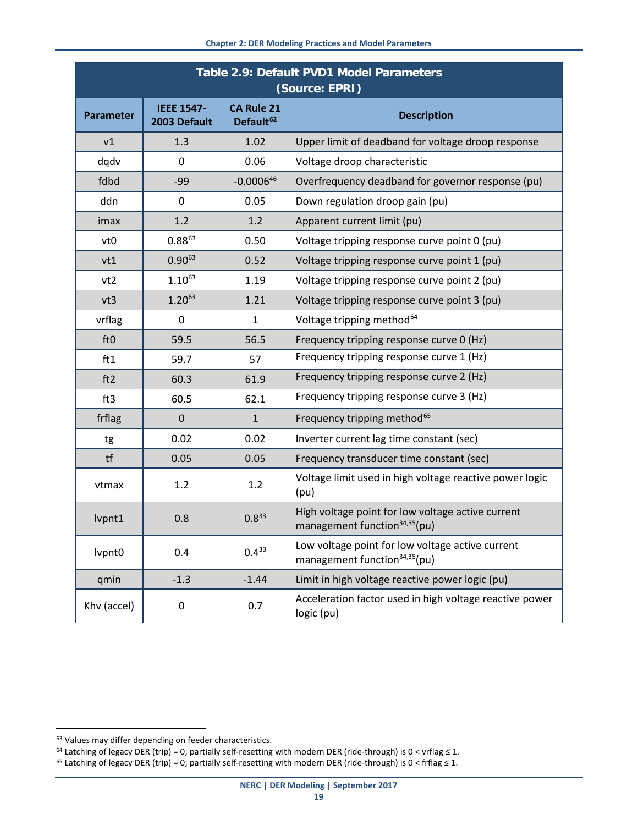<span id="page-22-0"></span>

| Table 2.9: Default PVD1 Model Parameters<br>(Source: EPRI) |                                   |                                            |                                                                                                |
|------------------------------------------------------------|-----------------------------------|--------------------------------------------|------------------------------------------------------------------------------------------------|
| <b>Parameter</b>                                           | <b>IEEE 1547-</b><br>2003 Default | <b>CA Rule 21</b><br>Default <sup>62</sup> | <b>Description</b>                                                                             |
| v1                                                         | 1.3                               | 1.02                                       | Upper limit of deadband for voltage droop response                                             |
| dqdv                                                       | $\mathbf 0$                       | 0.06                                       | Voltage droop characteristic                                                                   |
| fdbd                                                       | $-99$                             | $-0.0006^{46}$                             | Overfrequency deadband for governor response (pu)                                              |
| ddn                                                        | 0                                 | 0.05                                       | Down regulation droop gain (pu)                                                                |
| imax                                                       | 1.2                               | 1.2                                        | Apparent current limit (pu)                                                                    |
| vt0                                                        | $0.88^{63}$                       | 0.50                                       | Voltage tripping response curve point 0 (pu)                                                   |
| vt1                                                        | $0.90^{63}$                       | 0.52                                       | Voltage tripping response curve point 1 (pu)                                                   |
| vt2                                                        | $1.10^{63}$                       | 1.19                                       | Voltage tripping response curve point 2 (pu)                                                   |
| vt3                                                        | $1.20^{63}$                       | 1.21                                       | Voltage tripping response curve point 3 (pu)                                                   |
| vrflag                                                     | $\mathbf 0$                       | $\mathbf{1}$                               | Voltage tripping method <sup>64</sup>                                                          |
| ft0                                                        | 59.5                              | 56.5                                       | Frequency tripping response curve 0 (Hz)                                                       |
| ft1                                                        | 59.7                              | 57                                         | Frequency tripping response curve 1 (Hz)                                                       |
| ft2                                                        | 60.3                              | 61.9                                       | Frequency tripping response curve 2 (Hz)                                                       |
| ft3                                                        | 60.5                              | 62.1                                       | Frequency tripping response curve 3 (Hz)                                                       |
| frflag                                                     | $\mathbf 0$                       | $\mathbf{1}$                               | Frequency tripping method <sup>65</sup>                                                        |
| tg                                                         | 0.02                              | 0.02                                       | Inverter current lag time constant (sec)                                                       |
| tf                                                         | 0.05                              | 0.05                                       | Frequency transducer time constant (sec)                                                       |
| vtmax                                                      | 1.2                               | 1.2                                        | Voltage limit used in high voltage reactive power logic<br>(pu)                                |
| lvpnt1                                                     | 0.8                               | $0.8^{33}$                                 | High voltage point for low voltage active current<br>management function <sup>34,35</sup> (pu) |
| lvpnt0                                                     | 0.4                               | $0.4^{33}$                                 | Low voltage point for low voltage active current<br>management function <sup>34,35</sup> (pu)  |
| qmin                                                       | $-1.3$                            | $-1.44$                                    | Limit in high voltage reactive power logic (pu)                                                |
| Khv (accel)                                                | $\mathbf 0$                       | 0.7                                        | Acceleration factor used in high voltage reactive power<br>logic (pu)                          |

<span id="page-22-1"></span> <sup>63</sup> Values may differ depending on feeder characteristics.

<span id="page-22-2"></span><sup>64</sup> Latching of legacy DER (trip) = 0; partially self-resetting with modern DER (ride-through) is  $0 <$  vrflag  $\leq 1$ .

<span id="page-22-3"></span><sup>65</sup> Latching of legacy DER (trip) = 0; partially self-resetting with modern DER (ride-through) is  $0 <$  frflag  $\leq 1$ .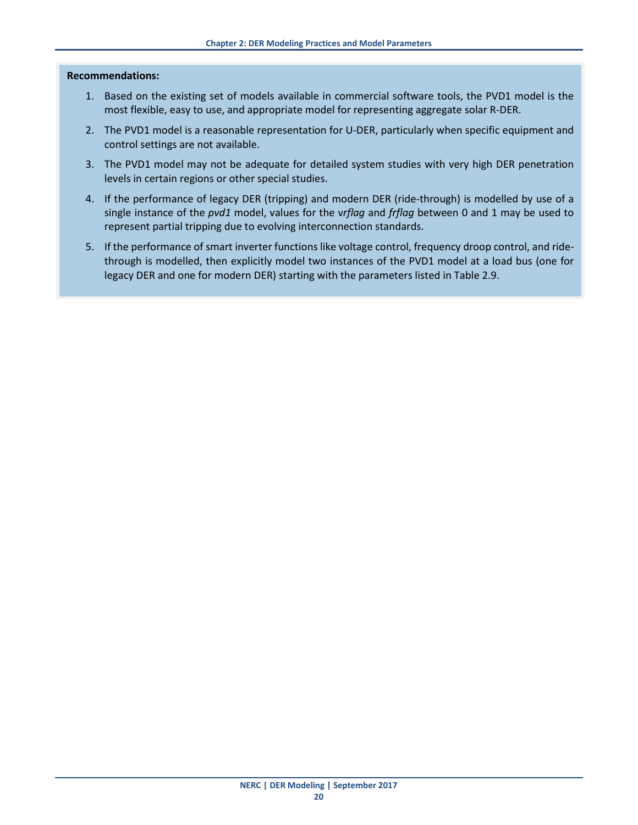- 1. Based on the existing set of models available in commercial software tools, the PVD1 model is the most flexible, easy to use, and appropriate model for representing aggregate solar R-DER.
- 2. The PVD1 model is a reasonable representation for U-DER, particularly when specific equipment and control settings are not available.
- 3. The PVD1 model may not be adequate for detailed system studies with very high DER penetration levels in certain regions or other special studies.
- 4. If the performance of legacy DER (tripping) and modern DER (ride-through) is modelled by use of a single instance of the *pvd1* model, values for the v*rflag* and *frflag* between 0 and 1 may be used to represent partial tripping due to evolving interconnection standards.
- 5. If the performance of smart inverter functions like voltage control, frequency droop control, and ridethrough is modelled, then explicitly model two instances of the PVD1 model at a load bus (one for legacy DER and one for modern DER) starting with the parameters listed in Table 2.9.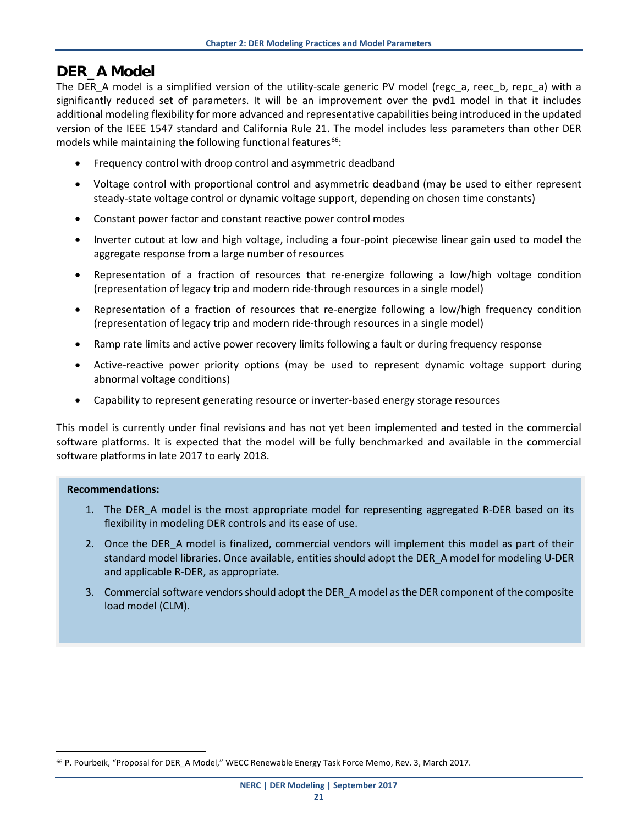## <span id="page-24-0"></span>**DER\_A Model**

The DER A model is a simplified version of the utility-scale generic PV model (regc a, reec b, repc a) with a significantly reduced set of parameters. It will be an improvement over the pvd1 model in that it includes additional modeling flexibility for more advanced and representative capabilities being introduced in the updated version of the IEEE 1547 standard and California Rule 21. The model includes less parameters than other DER models while maintaining the following functional features $66$ :

- Frequency control with droop control and asymmetric deadband
- Voltage control with proportional control and asymmetric deadband (may be used to either represent steady-state voltage control or dynamic voltage support, depending on chosen time constants)
- Constant power factor and constant reactive power control modes
- Inverter cutout at low and high voltage, including a four-point piecewise linear gain used to model the aggregate response from a large number of resources
- Representation of a fraction of resources that re-energize following a low/high voltage condition (representation of legacy trip and modern ride-through resources in a single model)
- Representation of a fraction of resources that re-energize following a low/high frequency condition (representation of legacy trip and modern ride-through resources in a single model)
- Ramp rate limits and active power recovery limits following a fault or during frequency response
- Active-reactive power priority options (may be used to represent dynamic voltage support during abnormal voltage conditions)
- Capability to represent generating resource or inverter-based energy storage resources

This model is currently under final revisions and has not yet been implemented and tested in the commercial software platforms. It is expected that the model will be fully benchmarked and available in the commercial software platforms in late 2017 to early 2018.

- 1. The DER\_A model is the most appropriate model for representing aggregated R-DER based on its flexibility in modeling DER controls and its ease of use.
- 2. Once the DER\_A model is finalized, commercial vendors will implement this model as part of their standard model libraries. Once available, entities should adopt the DER\_A model for modeling U-DER and applicable R-DER, as appropriate.
- 3. Commercial software vendors should adopt the DER\_A model as the DER component of the composite load model (CLM).

<span id="page-24-1"></span> <sup>66</sup> P. Pourbeik, "Proposal for DER\_A Model," WECC Renewable Energy Task Force Memo, Rev. 3, March 2017.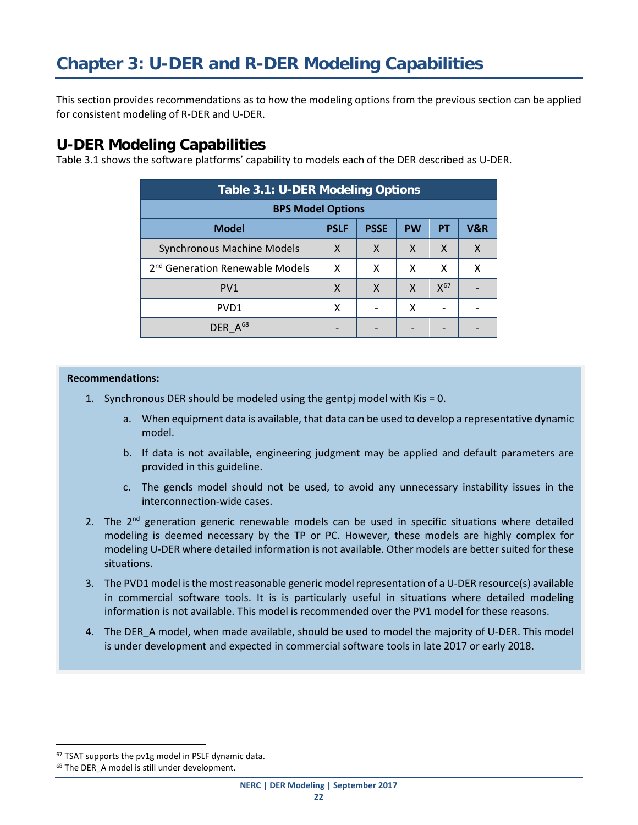<span id="page-25-0"></span>This section provides recommendations as to how the modeling options from the previous section can be applied for consistent modeling of R-DER and U-DER.

## <span id="page-25-1"></span>**U-DER Modeling Capabilities**

Table 3.1 shows the software platforms' capability to models each of the DER described as U-DER.

| <b>Table 3.1: U-DER Modeling Options</b>    |                          |             |           |           |     |  |  |
|---------------------------------------------|--------------------------|-------------|-----------|-----------|-----|--|--|
|                                             | <b>BPS Model Options</b> |             |           |           |     |  |  |
| <b>Model</b>                                | <b>PSLF</b>              | <b>PSSE</b> | <b>PW</b> | <b>PT</b> | V&R |  |  |
| <b>Synchronous Machine Models</b>           | X                        | X           | X         | X         | X   |  |  |
| 2 <sup>nd</sup> Generation Renewable Models | x                        | x           | x         | x         | x   |  |  |
| PV <sub>1</sub>                             | X                        | X           | X         | $X^{67}$  |     |  |  |
| PVD <sub>1</sub>                            | X                        |             | x         |           |     |  |  |
| DER A <sup>68</sup>                         |                          |             |           |           |     |  |  |

- 1. Synchronous DER should be modeled using the gentpj model with Kis = 0.
	- a. When equipment data is available, that data can be used to develop a representative dynamic model.
	- b. If data is not available, engineering judgment may be applied and default parameters are provided in this guideline.
	- c. The gencls model should not be used, to avoid any unnecessary instability issues in the interconnection-wide cases.
- 2. The  $2^{nd}$  generation generic renewable models can be used in specific situations where detailed modeling is deemed necessary by the TP or PC. However, these models are highly complex for modeling U-DER where detailed information is not available. Other models are better suited for these situations.
- 3. The PVD1 model is the most reasonable generic model representation of a U-DER resource(s) available in commercial software tools. It is is particularly useful in situations where detailed modeling information is not available. This model is recommended over the PV1 model for these reasons.
- 4. The DER A model, when made available, should be used to model the majority of U-DER. This model is under development and expected in commercial software tools in late 2017 or early 2018.

<span id="page-25-2"></span> <sup>67</sup> TSAT supports the pv1g model in PSLF dynamic data.

<span id="page-25-3"></span><sup>68</sup> The DER\_A model is still under development.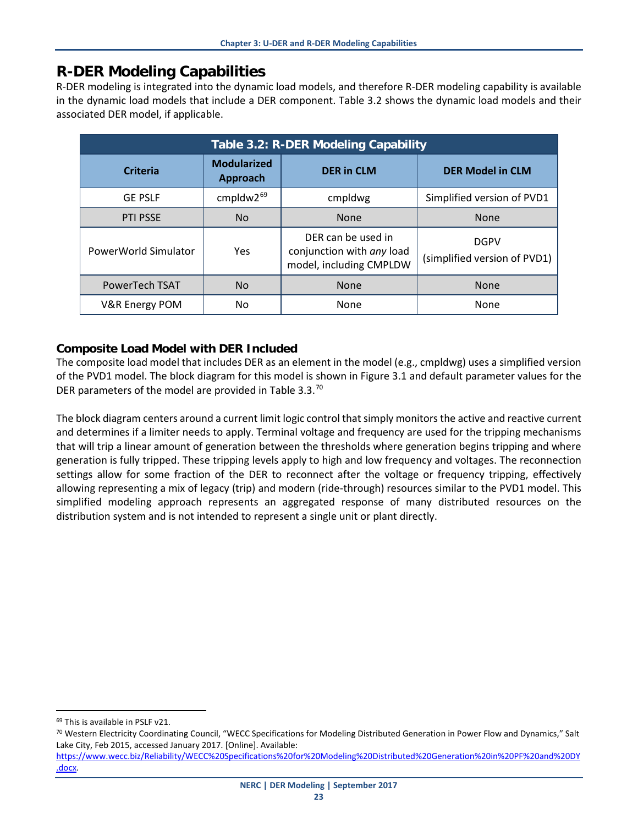## <span id="page-26-0"></span>**R-DER Modeling Capabilities**

R-DER modeling is integrated into the dynamic load models, and therefore R-DER modeling capability is available in the dynamic load models that include a DER component. Table 3.2 shows the dynamic load models and their associated DER model, if applicable.

| Table 3.2: R-DER Modeling Capability |                                |                                                                            |                                             |
|--------------------------------------|--------------------------------|----------------------------------------------------------------------------|---------------------------------------------|
| <b>Criteria</b>                      | <b>Modularized</b><br>Approach | <b>DER in CLM</b>                                                          | <b>DER Model in CLM</b>                     |
| <b>GE PSLF</b>                       | cmpldw $2^{69}$                | cmpldwg                                                                    | Simplified version of PVD1                  |
| <b>PTI PSSE</b>                      | N <sub>o</sub>                 | <b>None</b>                                                                | <b>None</b>                                 |
| PowerWorld Simulator                 | Yes                            | DER can be used in<br>conjunction with any load<br>model, including CMPLDW | <b>DGPV</b><br>(simplified version of PVD1) |
| PowerTech TSAT                       | <b>No</b>                      | <b>None</b>                                                                | <b>None</b>                                 |
| V&R Energy POM                       | No.                            | None                                                                       | None                                        |

#### <span id="page-26-1"></span>**Composite Load Model with DER Included**

The composite load model that includes DER as an element in the model (e.g., cmpldwg) uses a simplified version of the PVD1 model. The block diagram for this model is shown in Figure 3.1 and default parameter values for the DER parameters of the model are provided in Table 3.3.[70](#page-26-3)

The block diagram centers around a current limit logic control that simply monitors the active and reactive current and determines if a limiter needs to apply. Terminal voltage and frequency are used for the tripping mechanisms that will trip a linear amount of generation between the thresholds where generation begins tripping and where generation is fully tripped. These tripping levels apply to high and low frequency and voltages. The reconnection settings allow for some fraction of the DER to reconnect after the voltage or frequency tripping, effectively allowing representing a mix of legacy (trip) and modern (ride-through) resources similar to the PVD1 model. This simplified modeling approach represents an aggregated response of many distributed resources on the distribution system and is not intended to represent a single unit or plant directly.

<span id="page-26-2"></span> <sup>69</sup> This is available in PSLF v21.

<span id="page-26-3"></span><sup>70</sup> Western Electricity Coordinating Council, "WECC Specifications for Modeling Distributed Generation in Power Flow and Dynamics," Salt Lake City, Feb 2015, accessed January 2017. [Online]. Available:

[https://www.wecc.biz/Reliability/WECC%20Specifications%20for%20Modeling%20Distributed%20Generation%20in%20PF%20and%20DY](https://www.wecc.biz/Reliability/WECC%20Specifications%20for%20Modeling%20Distributed%20Generation%20in%20PF%20and%20DY.docx) [.docx.](https://www.wecc.biz/Reliability/WECC%20Specifications%20for%20Modeling%20Distributed%20Generation%20in%20PF%20and%20DY.docx)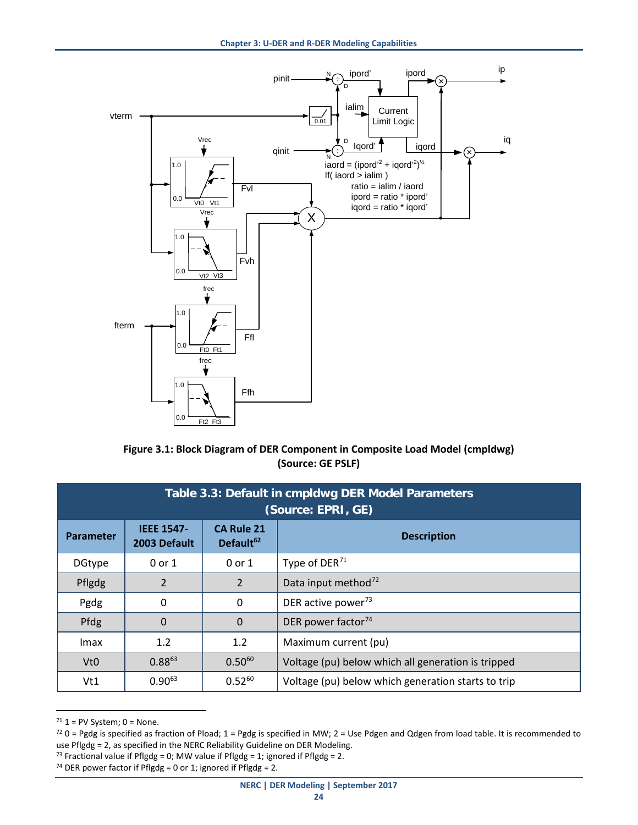

**Figure 3.1: Block Diagram of DER Component in Composite Load Model (cmpldwg) (Source: GE PSLF)**

| Table 3.3: Default in cmpldwg DER Model Parameters<br>(Source: EPRI, GE) |                                   |                                            |                                                    |
|--------------------------------------------------------------------------|-----------------------------------|--------------------------------------------|----------------------------------------------------|
| <b>Parameter</b>                                                         | <b>IEEE 1547-</b><br>2003 Default | <b>CA Rule 21</b><br>Default <sup>62</sup> | <b>Description</b>                                 |
| <b>DGtype</b>                                                            | $0$ or $1$                        | 0 or 1                                     | Type of DER <sup>71</sup>                          |
| Pflgdg                                                                   | $\overline{2}$                    | 2                                          | Data input method <sup>72</sup>                    |
| Pgdg                                                                     | 0                                 | 0                                          | DER active power <sup>73</sup>                     |
| Pfdg                                                                     | $\Omega$                          | $\Omega$                                   | DER power factor <sup>74</sup>                     |
| Imax                                                                     | 1.2                               | 1.2                                        | Maximum current (pu)                               |
| Vt <sub>0</sub>                                                          | $0.88^{63}$                       | $0.50^{60}$                                | Voltage (pu) below which all generation is tripped |
| Vt1                                                                      | 0.90 <sup>63</sup>                | $0.52^{60}$                                | Voltage (pu) below which generation starts to trip |

<span id="page-27-0"></span> $71$  1 = PV System; 0 = None.

<span id="page-27-1"></span> $72$  0 = Pgdg is specified as fraction of Pload; 1 = Pgdg is specified in MW; 2 = Use Pdgen and Qdgen from load table. It is recommended to use Pflgdg = 2, as specified in the NERC Reliability Guideline on DER Modeling.

<span id="page-27-2"></span><sup>&</sup>lt;sup>73</sup> Fractional value if Pflgdg = 0; MW value if Pflgdg = 1; ignored if Pflgdg = 2.

<span id="page-27-3"></span><sup>&</sup>lt;sup>74</sup> DER power factor if Pflgdg = 0 or 1; ignored if Pflgdg = 2.